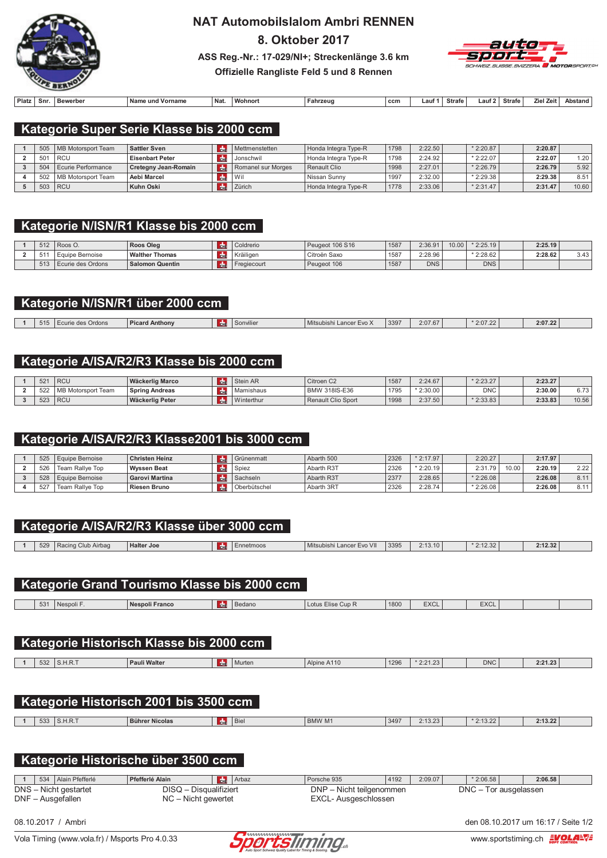

# **NAT Automobilslalom Ambri RENNEN**

8. Oktober 2017



ASS Reg.-Nr.: 17-029/NI+; Streckenlänge 3.6 km Offizielle Rangliste Feld 5 und 8 Rennen

| Platz | Snr. | Bewerber | Name<br>und Vorname | Na | <b>Wohnort</b> | Fahrzeug | ccm | ∟aut∶ | Strafe | auf | <b>Strafe</b> | 7iel.<br><b>Zeit</b> | <b>Abstand</b> |
|-------|------|----------|---------------------|----|----------------|----------|-----|-------|--------|-----|---------------|----------------------|----------------|

### Kategorie Super Serie Klasse bis 2000 ccm

|                 | 505   MB Motorsport Team | <b>Sattler Sven</b>    | Mettmenstetten     | Honda Integra Type-R | 1798 | 2:22.50  | $*2:20.87$ | 2:20.87 |       |
|-----------------|--------------------------|------------------------|--------------------|----------------------|------|----------|------------|---------|-------|
| 50 <sup>2</sup> | l RCU                    | <b>Eisenbart Peter</b> | Jonschwil          | Honda Integra Type-R | 1798 | 2:24.921 | $*2:22.07$ | 2:22.07 | 1.20  |
| 504             | Ecurie Performance       | Cretegny Jean-Romain   | Romanel sur Morges | <b>Renault Clio</b>  | 1998 | 2:27.01  | $*2:26.79$ | 2:26.79 | 5.92  |
| 502             | MB Motorsport Team       | <b>Aebi Marcel</b>     | Wil                | Nissan Sunny         | 1997 | 2:32.00  | $*2:29.38$ | 2:29.38 | 8.51  |
| 503             | RCU                      | <b>Kuhn Oski</b>       | Zürich             | Honda Integra Type-R | 1778 | 2:33.06  | $*2:31.47$ | 2:31.47 | 10.60 |

### Kategorie N/ISN/R1 Klasse bis 2000 ccm

| 512        | <sup>1</sup> Roos O. | Roos Oleg             | Coldrerio   | Peugeot 106 S16 | 1587 | 2:36.91    | 10.00 | $*2:25.19$ | 2:25.19 |      |
|------------|----------------------|-----------------------|-------------|-----------------|------|------------|-------|------------|---------|------|
| 51         | . Equipe Bernoise    | <b>Walther Thomas</b> | Kräiligen   | Citroën Saxo    | 158  | 2:28.96    |       | $*2:28.62$ | 2:28.62 | 3.43 |
| FAD<br>513 | Ecurie des Ordons    | Salomon Quentin       | Fregiecourt | Peugeot 106     | 158  | <b>DNS</b> |       | <b>DNS</b> |         |      |

### Kategorie N/ISN/R1 über 2000 ccm

| 515 | Ordons<br>$\sim$ and $\sim$ | Anthony | ့ ၁၀။ ville. | $\sim$ $\sim$<br>Mitsubish<br>∟ance<br>≡v∪ z | 3397 | 2:07.67 | 2:07.22 | 2:07.22 |  |
|-----|-----------------------------|---------|--------------|----------------------------------------------|------|---------|---------|---------|--|
|     |                             |         |              |                                              |      |         |         |         |  |

### Kategorie A/ISA/R2/R3 Klasse bis 2000 ccm

| 52  | <sup>I</sup> RCU      | Wäckerlig Marco | <b>Stein AR</b> | Citroen C2           | 1587 | 2:24.67    | $* 9.99.97$<br>2.23.ZI | 2:23.27 |               |
|-----|-----------------------|-----------------|-----------------|----------------------|------|------------|------------------------|---------|---------------|
| 522 | MB<br>Motorsport Team | Spring Andreas  | Mamishaus       | <b>BMW 318IS-E36</b> | 1795 | $*2:30.00$ | <b>DNC</b>             | 2:30.00 | 0.70<br>∪.≀ ∪ |
| 52  | RCU <sup>'</sup>      | Wäckerlig Peter | Winterthur      | Renault Clio Sport   | 1998 | 2:37.50    | $*2:33.83$             | 2:33.83 | 10.56         |

### Kategorie A/ISA/R2/R3 Klasse2001 bis 3000 ccm

| 525 | Equipe Bernoise | Christen Heinz        | Grünenmatt   | Abarth 500 | 2326 | $*2:17.97$ | 2:20.27     |       | 2:17.97 |      |
|-----|-----------------|-----------------------|--------------|------------|------|------------|-------------|-------|---------|------|
| 526 | Team Rallve Top | Wyssen Beat           | <b>Spiez</b> | Abarth R3T | 2326 | $*2:20.19$ | 2:31<br>-70 | 10.00 | 2:20.19 | 2.22 |
| 528 | Equipe Bernoise | <b>Garovi Martina</b> | Sachseln     | Abarth R3T | 2377 | 2:28.65    | $*2:26.08$  |       | 2:26.08 | 8.11 |
| 527 | Team Rallve Top | <b>Riesen Bruno</b>   | Oberbütschel | Abarth 3RT | 2326 | 2:28.74    | $*2:26.08$  |       | 2:26.08 | 8.11 |

|                |     |                    | Kategorie A/ISA/R2/R3 Klasse über 3000 ccm                      |                 |           |                           |      |             |             |         |
|----------------|-----|--------------------|-----------------------------------------------------------------|-----------------|-----------|---------------------------|------|-------------|-------------|---------|
|                |     |                    |                                                                 |                 |           |                           |      |             |             |         |
|                | 529 | Racing Club Airbag | <b>Halter Joe</b>                                               | <b>de</b>       | Ennetmoos | Mitsubishi Lancer Evo VII | 3395 | 2:13.10     | $*2:12.32$  | 2:12.32 |
|                |     |                    | Kategorie Grand Tourismo Klasse bis 2000 ccm                    |                 |           |                           |      |             |             |         |
|                | 531 | Nespoli F.         | <b>Nespoli Franco</b>                                           | l de l          | Bedano    | Lotus Elise Cup R         | 1800 | <b>EXCL</b> | <b>EXCL</b> |         |
|                |     |                    |                                                                 |                 |           |                           |      |             |             |         |
|                |     |                    | Kategorie Historisch Klasse bis 2000 ccm                        |                 |           |                           |      |             |             |         |
|                | 532 | S.H.R.T            | <b>Pauli Walter</b>                                             | dm <sub>E</sub> | Murten    | Alpine A110               | 1296 | $*2:21.23$  | <b>DNC</b>  | 2:21.23 |
|                | 533 | S.H.R.T            | Kategorie Historisch 2001 bis 3500 ccm<br><b>Bührer Nicolas</b> | d <sub>n</sub>  | Biel      | <b>BMW M1</b>             | 3497 | 2:13.23     | $*2:13.22$  | 2:13.22 |
|                |     |                    |                                                                 |                 |           |                           |      |             |             |         |
| $\overline{1}$ | 534 | Alain Pfefferlé    | Kategorie Historische über 3500 ccm<br>Pfefferlé Alain          | <b>CHE</b>      | Arbaz     | Porsche 935               | 4192 | 2:09.07     | $*2:06.58$  | 2:06.58 |
|                |     |                    |                                                                 |                 |           |                           |      |             |             |         |

1 | 534 | Alain Pfefferle<br>DNS – Nicht gestartet<br>DNF – Ausgefallen DISQ - Disqualifiziert DNP - Nicht teilgenommen DNC - Tor ausgelassen  $NC -$  Nicht gewertet EXCL- Ausgeschlossen



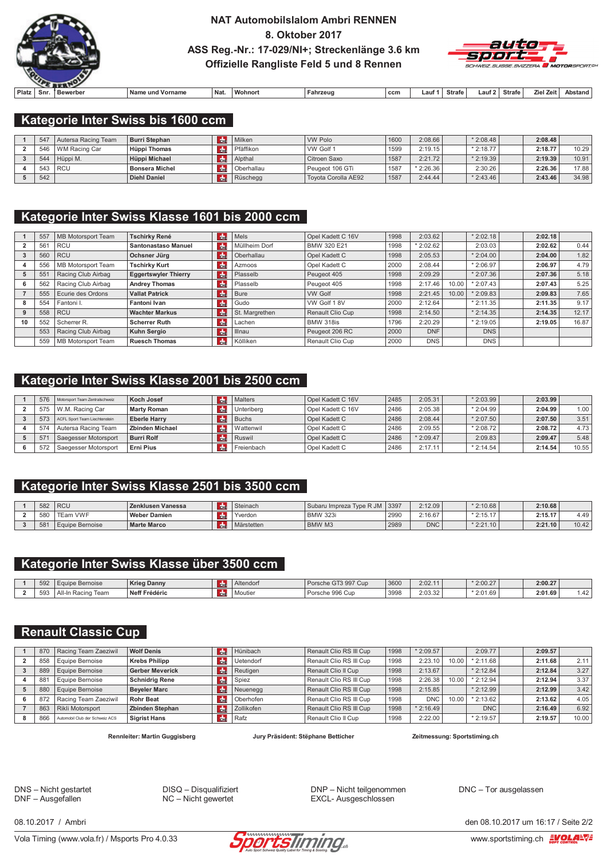

### **NAT Automobilslalom Ambri RENNEN** 8. Oktober 2017 ASS Reg.-Nr.: 17-029/NI+; Streckenlänge 3.6 km Offizielle Rangliste Feld 5 und 8 Rennen



| Platz | Snr | Bewerber | ∴Nam∕<br>Vorname<br>uno | Nat | $\cdots$<br>Wohnor | Fahrzeud | ccm | _aut | Strafe | aut | Strafe | . Zeit<br>Ziel | Abstand |
|-------|-----|----------|-------------------------|-----|--------------------|----------|-----|------|--------|-----|--------|----------------|---------|

### Kategorie Inter Swiss bis 1600 ccm

| <b>547</b> | Autersa Racing Team | Burri Stephan         | Milken     | <b>VW Polo</b>      | 1600 | 2:08.66    | $*2:08.48$ | 2:08.48 |       |
|------------|---------------------|-----------------------|------------|---------------------|------|------------|------------|---------|-------|
| 546        | WM Racing Car       | Hüppi Thomas          | Pfäffikon  | VW Golf 1           | 1599 | 2:19.15    | $*2:18.77$ | 2:18.77 | 10.29 |
| 544        | Hüppi M.            | Hüppi Michael         | Alpthal    | Citroen Saxo        | 1587 | 2:21.72    | $*2:19.39$ | 2:19.39 | 10.91 |
| 543        | l RCU               | <b>Bonsera Michel</b> | Oberhallau | Peugeot 106 GTi     | 1587 | $*2:26.36$ | 2:30.26    | 2:26.36 | 17.88 |
| 542        |                     | <b>Diehl Daniel</b>   | Rüschegg   | Tovota Corolla AE92 | 1587 | 2:44.44    | $*2:43.46$ | 2:43.46 | 34.98 |

## Kategorie Inter Swiss Klasse 1601 bis 2000 ccm

|    | 557 | MB Motorsport Team | Tschirky René               | de            | <b>Mels</b>    | Opel Kadett C 16V | 1998 | 2:03.62    |       | $*2:02.18$ | 2:02.18 |       |
|----|-----|--------------------|-----------------------------|---------------|----------------|-------------------|------|------------|-------|------------|---------|-------|
|    | 56  | <b>RCU</b>         | Santonastaso Manuel         | <b>do</b>     | Müllheim Dorf  | BMW 320 E21       | 1998 | $*2:02.62$ |       | 2:03.03    | 2:02.62 | 0.44  |
|    | 560 | <b>RCU</b>         | Ochsner Jürg                | l de          | Oberhallau     | Opel Kadett C     | 1998 | 2:05.53    |       | $*2:04.00$ | 2:04.00 | 1.82  |
|    | 556 | MB Motorsport Team | <b>Tschirky Kurt</b>        | $\frac{1}{2}$ | Azmoos         | Opel Kadett C     | 2000 | 2:08.44    |       | $*2:06.97$ | 2:06.97 | 4.79  |
|    | 55' | Racing Club Airbag | <b>Eggertswyler Thierry</b> | l du          | Plasselb       | Peugeot 405       | 1998 | 2:09.29    |       | $*2:07.36$ | 2:07.36 | 5.18  |
| 6  | 562 | Racing Club Airbag | <b>Andrey Thomas</b>        | $\frac{1}{2}$ | Plasselb       | Peugeot 405       | 1998 | 2:17.46    | 10.00 | $*2:07.43$ | 2:07.43 | 5.25  |
|    | 555 | Ecurie des Ordons  | <b>Vallat Patrick</b>       | <b>do</b>     | Bure           | <b>VW Golf</b>    | 1998 | 2:21.45    | 10.00 | 2:09.83    | 2:09.83 | 7.65  |
| 8  | 554 | Fantoni I.         | Fantoni Ivan                | $\frac{1}{2}$ | Gudo           | VW Golf 18V       | 2000 | 2:12.64    |       | $*2:11.35$ | 2:11.35 | 9.17  |
|    | 558 | <b>RCU</b>         | <b>Wachter Markus</b>       | l du          | St. Margrethen | Renault Clio Cup  | 1998 | 2:14.50    |       | $*2:14.35$ | 2:14.35 | 12.17 |
| 10 | 552 | Scherrer R.        | <b>Scherrer Ruth</b>        | $ch$          | Lachen         | <b>BMW 318is</b>  | 1796 | 2:20.29    |       | $*2:19.05$ | 2:19.05 | 16.87 |
|    | 553 | Racing Club Airbag | <b>Kuhn Sergio</b>          | $cm$          | Illnau         | Peugeot 206 RC    | 2000 | <b>DNF</b> |       | <b>DNS</b> |         |       |
|    | 559 | MB Motorsport Team | <b>Ruesch Thomas</b>        | $cm$          | Kölliken       | Renault Clio Cup  | 2000 | <b>DNS</b> |       | <b>DNS</b> |         |       |

### Kategorie Inter Swiss Klasse 2001 bis 2500 ccm

| 576 | Motorsport Team Zentralschweiz | Koch Josef          | Malters          | Opel Kadett C 16V | 2485 | 2:05.31    | $*2:03.99$  | 2:03.99 |       |
|-----|--------------------------------|---------------------|------------------|-------------------|------|------------|-------------|---------|-------|
| 575 | W.M. Racing Car                | Marty Roman         | Unteribera       | Opel Kadett C 16V | 2486 | 2:05.38    | $*$ 2:04.99 | 2:04.99 | 1.00  |
| 573 | ACFL Sport Team Liechtenstein  | <b>Eberle Harry</b> | Buchs            | Opel Kadett C     | 2486 | 2:08.44    | $*$ 2:07.50 | 2:07.50 | 3.51  |
| 574 | Autersa Racing Team            | Zbinden Michael     | <b>Wattenwil</b> | Opel Kadett C     | 2486 | 2:09.55    | $*2:08.72$  | 2:08.72 | 4.73  |
| 57' | Saegesser Motorsport           | <b>Burri Rolf</b>   | Ruswil           | Opel Kadett C     | 2486 | $*2:09.47$ | 2:09.83     | 2:09.47 | 5.48  |
| 572 | l Saegesser Motorsport         | Erni Pius           | Freienbach       | Opel Kadett C     | 2486 | 2:17.11    | $*2:14.54$  | 2:14.54 | 10.55 |

### Kategorie Inter Swiss Klasse 2501 bis 3500 ccm

| 582 | <b>RCU</b>      | Zenklusen Vanessa   | <b>CHI</b> | Steinach   | Subaru Impreza Tvpe R JM | 3397 | 2:12.09    | $*2:10.68$              | 2:10.68 |       |
|-----|-----------------|---------------------|------------|------------|--------------------------|------|------------|-------------------------|---------|-------|
| 580 | <b>TEam VWF</b> | <b>Weber Damien</b> |            | Yverdon    | <b>BMW 323i</b>          | 2990 | 2:16.67    | $* 9.15 17$<br>2. IU. I | 2:15.17 | 4.49  |
| 581 | Equipe Bernoise | <b>Marte Marco</b>  | <b>CU</b>  | Märstetten | BMW M3                   | 2989 | <b>DNC</b> | $*2:21.10$              | 2:21.10 | 10.42 |

### Kategorie Inter Swiss Klasse über 3500 ccm

| 592          | e Bernoise<br>-quip-   | <b>Krieg Danny</b> | Altendorf | Porsche GT3 997 Cup | 3600 | 2:02.11 | $*2:00.27$ | 2:00.27 |                          |
|--------------|------------------------|--------------------|-----------|---------------------|------|---------|------------|---------|--------------------------|
| $-1$<br>-593 | `Aï.<br>Team<br>Racino | Neff Frédéric      | Moutier   | Porsche 996 Cup     | 3998 | 2:03.32 | $*2:01.69$ | 2:01.69 | $\overline{10}$<br>،4، ا |

### **Renault Classic Cup**

| 870             | Racing Team Zaeziwil           | <b>Wolf Denis</b>      | d.            | Hünibach         | Renault Clio RS III Cup | 1998 | $*2:09.57$ |       | 2:09.77     | 2:09.57 |       |
|-----------------|--------------------------------|------------------------|---------------|------------------|-------------------------|------|------------|-------|-------------|---------|-------|
| 858             | Equipe Bernoise                | <b>Krebs Philipp</b>   | <b>CH</b>     | <b>Uetendorf</b> | Renault Clio RS III Cup | 1998 | 2:23.10    | 10.00 | $*2:11.68$  | 2:11.68 | 2.11  |
| 889             | Equipe Bernoise                | <b>Gerber Meverick</b> | rda.          | Reutigen         | Renault Clio II Cup     | 1998 | 2:13.67    |       | $*2:12.84$  | 2:12.84 | 3.27  |
| 88 <sup>°</sup> | Equipe Bernoise                | <b>Schnidrig Rene</b>  | <b>CHI</b>    | Spiez            | Renault Clio RS III Cup | 1998 | 2:26.38    | 10.00 | $*$ 2:12.94 | 2:12.94 | 3.37  |
| 880             | Equipe Bernoise                | <b>Beyeler Marc</b>    | $\frac{1}{2}$ | Neuenegg         | Renault Clio RS III Cup | 1998 | 2:15.85    |       | $*$ 2:12.99 | 2:12.99 | 3.42  |
| 872             | Racing Team Zaeziwil           | <b>Rohr Beat</b>       | <b>da</b>     | Oberhofen        | Renault Clio RS III Cup | 1998 | <b>DNC</b> | 10.00 | $*$ 2:13.62 | 2:13.62 | 4.05  |
| 863             | Rikli Motorsport               | <b>Zbinden Stephan</b> |               | Zollikofen       | Renault Clio RS III Cup | 1998 | $*2:16.49$ |       | DNC         | 2:16.49 | 6.92  |
| 866             | Automobil Club der Schweiz ACS | <b>Sigrist Hans</b>    |               | Rafz             | Renault Clio II Cup     | 1998 | 2:22.00    |       | $*2:19.57$  | 2:19.57 | 10.00 |

Rennleiter: Martin Guggisberg

Jury Präsident: Stëphane Betticher

Zeitmessung: Sportstiming.ch

DNS - Nicht gestartet DNF - Ausgefallen

DISQ - Disqualifiziert  $NC -$  Nicht gewertet

DNP - Nicht teilgenommen EXCL- Ausgeschlossen

DNC - Tor ausgelassen

08 10 2017 / Ambri

Vola Timing (www.vola.fr) / Msports Pro 4.0.33



den 08 10 2017 um 16:17 / Seite 2/2 www.sportstiming.ch **EVOLAEVE**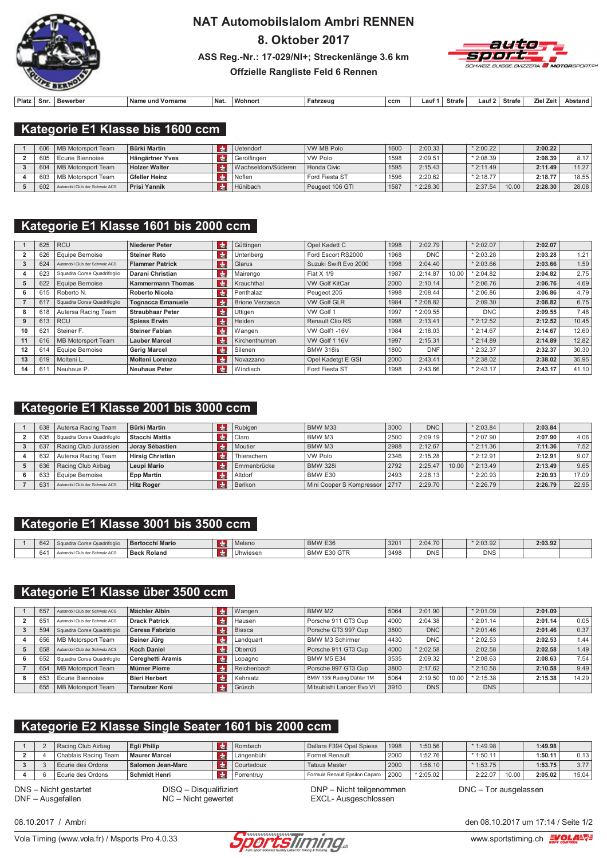

# **NAT Automobilslalom Ambri RENNEN** 8. Oktober 2017

ASS Reg.-Nr.: 17-029/NI+; Streckenlänge 3.6 km



### Offzielle Rangliste Feld 6 Rennen

| Platz. | Snr. | Bewerber | Name un<br>  Vorname | ' Nat. | <b>Wohnon</b> | Fahrzeu | ccm | .auf | <b>Strafe</b> | Lau | Strafe | . Zei'<br>7iel | Abstar |
|--------|------|----------|----------------------|--------|---------------|---------|-----|------|---------------|-----|--------|----------------|--------|

### Kategorie E1 Klasse bis 1600 ccm

| 606 | MB Motorsport Team             | <b>Bürki Martin</b>  | Uetendorf           | WW MB Polo      | 1600 | 2:00.33    | $*2:00.22$ |       | 2:00.22 |       |
|-----|--------------------------------|----------------------|---------------------|-----------------|------|------------|------------|-------|---------|-------|
| 605 | Ecurie Biennoise               | l Hängärtner Yves    | Gerolfingen         | VW Polo         | 1598 | 2:09.51    | $*2:08.39$ |       | 2:08.39 | 8.17  |
| 604 | MB Motorsport Team             | <b>Holzer Walter</b> | Wachseldorn/Süderen | Honda Civic     | 1595 | 2:15.43    | $*2:11.49$ |       | 2:11.49 | 11.27 |
| 603 | MB Motorsport Team             | Gfeller Heinz        | l Noflen            | Ford Fiesta ST  | 1596 | 2:20.62    | $*2:18.77$ |       | 2:18.77 | 18.55 |
| 602 | Automobil Club der Schweiz ACS | <b>Prisi Yannik</b>  | Hünibach            | Peugeot 106 GTI | 1587 | $*2:28.30$ | 2:37.54    | 10.00 | 2:28.30 | 28.08 |

### Kategorie E1 Klasse 1601 bis 2000 ccm

|    | 625 | <b>RCU</b>                     | Niederer Peter           | $cm$          | Güttingen              | Opel Kadett C          | 1998 | 2:02.79    |       | $*2:02.07$ | 2:02.07 |       |
|----|-----|--------------------------------|--------------------------|---------------|------------------------|------------------------|------|------------|-------|------------|---------|-------|
|    | 626 | Equipe Bernoise                | <b>Steiner Reto</b>      | de            | Unteriberg             | Ford Escort RS2000     | 1968 | <b>DNC</b> |       | $*2:03.28$ | 2:03.28 | 1.21  |
|    | 624 | Automobil Club der Schweiz ACS | <b>Flammer Patrick</b>   | Idhe          | Glarus                 | Suzuki Swift Evo 2000  | 1998 | 2:04.40    |       | $*2:03.66$ | 2:03.66 | 1.59  |
|    | 623 | Squadra Corse Quadrifoglio     | Darani Christian         | $\frac{1}{2}$ | Mairengo               | Fiat X 1/9             | 1987 | 2:14.87    | 10.00 | $*2:04.82$ | 2:04.82 | 2.75  |
|    | 622 | Equipe Bernoise                | <b>Kammermann Thomas</b> | l du          | Krauchthal             | <b>VW Golf KitCar</b>  | 2000 | 2:10.14    |       | $*2:06.76$ | 2:06.76 | 4.69  |
| 6  | 615 | Roberto N.                     | <b>Roberto Nicola</b>    | <b>do</b>     | Penthalaz              | Peugeot 205            | 1998 | 2:08.44    |       | $*2:06.86$ | 2:06.86 | 4.79  |
|    | 61  | Squadra Corse Quadrifoglio     | <b>Tognacca Emanuele</b> | <b>do</b>     | <b>Brione Verzasca</b> | <b>VW Golf GLR</b>     | 1984 | $*2:08.82$ |       | 2:09.30    | 2:08.82 | 6.75  |
| 8  | 618 | Autersa Racing Team            | <b>Straubhaar Peter</b>  | $\frac{1}{2}$ | Uttigen                | VW Golf 1              | 1997 | $*2:09.55$ |       | <b>DNC</b> | 2:09.55 | 7.48  |
|    | 613 | <b>RCU</b>                     | <b>Spiess Erwin</b>      | <b>do</b>     | Heiden                 | <b>Renault Clio RS</b> | 1998 | 2:13.41    |       | $*2:12.52$ | 2:12.52 | 10.45 |
| 10 | 62  | Steiner F.                     | <b>Steiner Fabian</b>    | $\frac{1}{2}$ | Wangen                 | VW Golf1-16V           | 1984 | 2:18.03    |       | $*2:14.67$ | 2:14.67 | 12.60 |
| 11 | 616 | MB Motorsport Team             | <b>Lauber Marcel</b>     | $cm$          | Kirchenthurnen         | VW Golf 1 16V          | 1997 | 2:15.31    |       | $*2:14.89$ | 2:14.89 | 12.82 |
| 12 | 614 | Equipe Bernoise                | <b>Gerig Marcel</b>      | $cm$          | Silenen                | <b>BMW 318is</b>       | 1800 | <b>DNF</b> |       | $*2:32.37$ | 2:32.37 | 30.30 |
| 13 | 619 | Molteni L.                     | <b>Molteni Lorenzo</b>   | $cm$          | Novazzano              | Opel Kadetgt E GSI     | 2000 | 2:43.41    |       | $*2:38.02$ | 2:38.02 | 35.95 |
| 14 | 61  | Neuhaus P.                     | <b>Neuhaus Peter</b>     | $H_{\rm{th}}$ | Windisch               | Ford Fiesta ST         | 1998 | 2:43.66    |       | $*2:43.17$ | 2:43.17 | 41.10 |

### Kategorie E1 Klasse 2001 bis 3000 ccm

| 638 | Autersa Racing Team            | <b>Bürki Martin</b> |               | Rubigen     | BMW M33                         | 3000 | <b>DNC</b> |       | $*2:03.84$  | 2:03.84 |       |
|-----|--------------------------------|---------------------|---------------|-------------|---------------------------------|------|------------|-------|-------------|---------|-------|
| 635 | Squadra Corse Quadrifoglio     | Stacchi Mattia      |               | Claro       | BMW M3                          | 2500 | 2:09.19    |       | $*$ 2:07.90 | 2:07.90 | 4.06  |
| 637 | Racing Club Jurassien          | Jorav Sébastien     |               | Moutier     | <b>BMW M3</b>                   | 2988 | 2:12.67    |       | $*$ 2:11.36 | 2:11.36 | 7.52  |
| 632 | Autersa Racing Team            | Hirsig Christian    | $\frac{1}{2}$ | Thierachern | <b>VW Polo</b>                  | 2346 | 2:15.28    |       | $*2:12.91$  | 2:12.91 | 9.07  |
| 636 | Racing Club Airbag             | Leupi Mario         |               | Emmenbrücke | <b>BMW 328i</b>                 | 2792 | 2:25.47    | 10.00 | $*$ 2:13.49 | 2:13.49 | 9.65  |
| 633 | Equipe Bernoise                | <b>Epp Martin</b>   |               | Altdorf     | BMW E30                         | 2493 | 2:28.13    |       | $*2:20.93$  | 2:20.93 | 17.09 |
| 631 | Automobil Club der Schweiz ACS | <b>Hitz Roger</b>   |               | Berikon     | Mini Cooper S Kompressor   2717 |      | 2:29.70    |       | $*2:26.79$  | 2:26.79 | 22.95 |

### Kategorie E1 Klasse 3001 bis 3500 ccm

| 042 | 2010/07/12<br>ı Corse Quadrifoql | <b>Bertocchi Mario</b> | Melano    | BMW E36                             | 3201 | 2:04.70    | 2:03.92    | 2:03.92 |  |
|-----|----------------------------------|------------------------|-----------|-------------------------------------|------|------------|------------|---------|--|
|     | a der Pelassia ACC.<br>HZ AU     | Beck Roland            | Ihwieser. | GTR<br><b>BMW</b><br>- 31<br>$\sim$ | 3498 | <b>DNS</b> | <b>DNS</b> |         |  |

### Kategorie E1 Klasse über 3500 ccm

| 657 | Automobil Club der Schweiz ACS | Mächler Albin            |               | Wangen        | BMW M2                    | 5064 | 2:01.90    |       | $*2:01.09$  | 2:01.09 |       |
|-----|--------------------------------|--------------------------|---------------|---------------|---------------------------|------|------------|-------|-------------|---------|-------|
| 65  | Automobil Club der Schweiz ACS | <b>Drack Patrick</b>     | <b>do</b>     | Hausen        | Porsche 911 GT3 Cup       | 4000 | 2:04.38    |       | $*$ 2:01.14 | 2:01.14 | 0.05  |
| 594 | Squadra Corse Quadrifoglio     | Ceresa Fabrizio          | <b>do</b>     | <b>Biasca</b> | Porsche GT3 997 Cup       | 3800 | <b>DNC</b> |       | $*$ 2:01.46 | 2:01.46 | 0.37  |
| 656 | MB Motorsport Team             | Beiner Jürg              | $ch$          | Landguart     | <b>BMW M3 Schirmer</b>    | 4430 | <b>DNC</b> |       | $*$ 2:02.53 | 2:02.53 | 1.44  |
| 658 | Automobil Club der Schweiz ACS | <b>Koch Daniel</b>       | <b>do</b>     | Oberrüti      | Porsche 911 GT3 Cup       | 4000 | $*2:02.58$ |       | 2:02.58     | 2:02.58 | 1.49  |
| 652 | Squadra Corse Quadrifoglio     | <b>Cereghetti Aramis</b> | $\frac{1}{2}$ | Lopagno       | <b>BMW M5 E34</b>         | 3535 | 2:09.32    |       | $*$ 2:08.63 | 2:08.63 | 7.54  |
| 654 | MB Motorsport Team             | Mürner Pierre            | <b>do</b>     | Reichenbach   | Porsche 997 GT3 Cup       | 3800 | 2:17.62    |       | $*$ 2:10.58 | 2:10.58 | 9.49  |
| 653 | Ecurie Biennoise               | <b>Bieri Herbert</b>     | <b>do</b>     | Kehrsatz      | BMW 135i Racing Dähler 1M | 5064 | 2:19.50    | 10.00 | $*$ 2:15.38 | 2:15.38 | 14.29 |
| 655 | MB Motorsport Team             | <b>Tarnutzer Koni</b>    | dh.           | Grüsch        | Mitsubishi Lancer Evo VI  | 3910 | <b>DNS</b> |       | <b>DNS</b>  |         |       |

## Kategorie E2 Klasse Single Seater 1601 bis 2000 ccm

|  | Racing Club Airbag   | <b>Egli Philip</b>   |             | Rombach    | Dallara F394 Opel Spiess       | 1998 | 1:50.56    | $*1:49.98$ |       | 1:49.98 |                    |
|--|----------------------|----------------------|-------------|------------|--------------------------------|------|------------|------------|-------|---------|--------------------|
|  | Chablais Racing Team | <b>Maurer Marcel</b> | <b>I</b> nt | Längenbühl | Formel Renault                 | 2000 | :52.76     | $*1:50.11$ |       | 1:50.11 | 0.13               |
|  | Ecurie des Ordons    | Salomon Jean-Marc    | CHI         | Courtedoux | <b>Tatuus Master</b>           | 2000 | 1:56.10    | $*1:53.75$ |       | 1:53.75 | 3.77               |
|  | Ecurie des Ordons    | <b>Schmidt Henri</b> |             | Porrentruv | Formula Renault Epsilon Caparo | 2000 | $*2:05.02$ | 2:22.07    | 10.00 | 2:05.02 | 15.04 <sub>1</sub> |

DNS - Nicht gestartet DNF - Ausgefallen

DISQ - Disqualifiziert  $NC -$  Nicht gewertet

DNP - Nicht teilgenommen EXCL- Ausgeschlossen

DNC - Tor ausgelassen

08 10 2017 / Ambri

Vola Timing (www.vola.fr) / Msports Pro 4.0.33



den 08 10 2017 um 17:14 / Seite 1/2

www.sportstiming.ch EVOLA-VE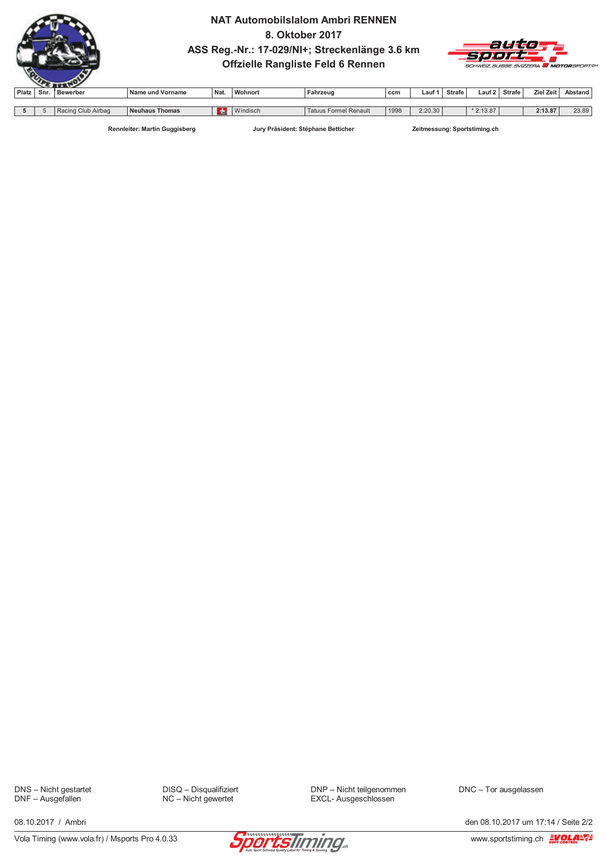

### **NAT Automobilslalom Ambri RENNEN** 8. Oktober 2017 ASS Reg.-Nr.: 17-029/NI+; Streckenlänge 3.6 km Offzielle Rangliste Feld 6 Rennen



| Platz | Snr | Bewerber                        | Name und Vorname                 | Nat.       | Wohnort  | Fahrzeuc                        | ccm  | ∟auf    | <b>Strafe</b> | ∟auf       | <b>Strafe</b> | Ziel Zeit          | Abstand |
|-------|-----|---------------------------------|----------------------------------|------------|----------|---------------------------------|------|---------|---------------|------------|---------------|--------------------|---------|
|       |     |                                 |                                  |            |          |                                 |      |         |               |            |               |                    |         |
|       |     | <sup>≀</sup> Racing Club Airbag | <b>Neuhaus</b><br><b>਼Thomas</b> | <b>CHL</b> | Windisch | <b>Formel Renault</b><br>Tatuu' | 1998 | 2:20.30 |               | $*2:13.87$ |               | 0.42.07<br>2:13.87 | 23.89   |

Rennleiter: Martin Guggisberg

Jury Präsident: Stëphane Betticher

Zeitmessung: Sportstiming.ch

DNS - Nicht gestartet<br>DNF - Ausgefallen

DISQ - Disqualifiziert NC - Nicht gewertet

DNP - Nicht teilgenommen EXCL- Ausgeschlossen

DNC - Tor ausgelassen



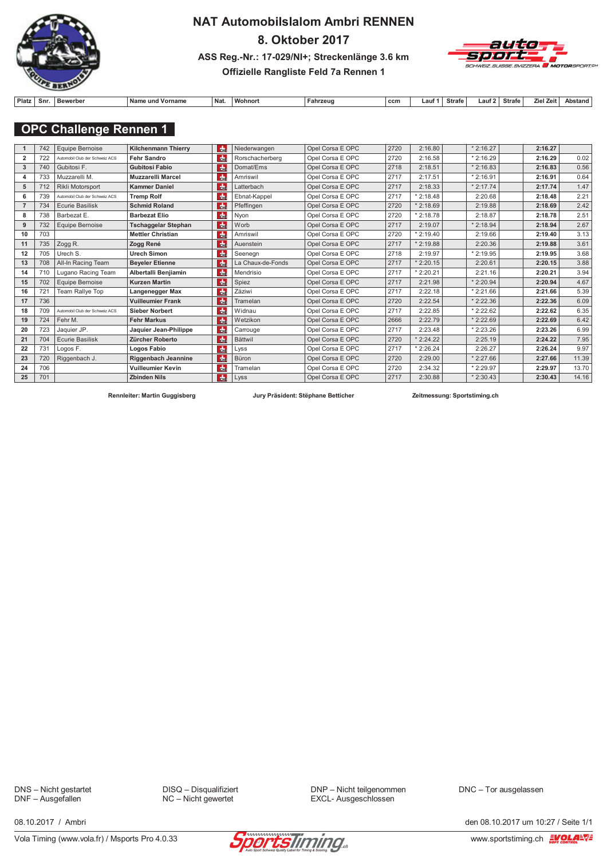

# **NAT Automobilslalom Ambri RENNEN** 8. Oktober 2017 ASS Reg.-Nr.: 17-029/NI+; Streckenlänge 3.6 km



### Offizielle Rangliste Feld 7a Rennen 1

| 'latz | Snr | Bewerber | <b>Name</b><br>Vorname<br>$\sim$ und $\sim$ | <sup>∣</sup> Na⊾ | Wohnor | Fahrzeug | ccm | _auf | Strafe | Strafe | . Zeit<br>Zie | Abstand |
|-------|-----|----------|---------------------------------------------|------------------|--------|----------|-----|------|--------|--------|---------------|---------|

### **OPC Challenge Rennen 1**

|                | 742 | Equipe Bernoise                | die.<br><b>Kilchenmann Thierry</b>            | Niederwangen      | Opel Corsa E OPC | 2720 | 2:16.80    | $*2:16.27$ | 2:16.27 |       |
|----------------|-----|--------------------------------|-----------------------------------------------|-------------------|------------------|------|------------|------------|---------|-------|
| $\overline{2}$ | 722 | Automobil Club der Schweiz ACS | dm <sub>2</sub><br>Fehr Sandro                | Rorschacherberg   | Opel Corsa E OPC | 2720 | 2:16.58    | $*2:16.29$ | 2:16.29 | 0.02  |
| 3              | 740 | Gubitosi F.                    | $ch$<br><b>Gubitosi Fabio</b>                 | Domat/Ems         | Opel Corsa E OPC | 2718 | 2:18.51    | $*2:16.83$ | 2:16.83 | 0.56  |
| 4              | 733 | Muzzarelli M.                  | $\frac{1}{2}$<br>Muzzarelli Marcel            | Amriswil          | Opel Corsa E OPC | 2717 | 2:17.51    | $*2:16.91$ | 2:16.91 | 0.64  |
| 5              | 712 | Rikli Motorsport               | $\frac{1}{2}$<br><b>Kammer Daniel</b>         | Latterbach        | Opel Corsa E OPC | 2717 | 2:18.33    | $*2:17.74$ | 2:17.74 | 1.47  |
| 6              | 739 | Automobil Club der Schweiz ACS | de<br><b>Tremp Rolf</b>                       | Ebnat-Kappel      | Opel Corsa E OPC | 2717 | $*2:18.48$ | 2:20.68    | 2:18.48 | 2.21  |
|                | 734 | <b>Ecurie Basilisk</b>         | $\frac{1}{2}$<br><b>Schmid Roland</b>         | Pfeffingen        | Opel Corsa E OPC | 2720 | $*2:18.69$ | 2:19.88    | 2:18.69 | 2.42  |
| 8              | 738 | Barbezat E.                    | ch <sub>E</sub><br><b>Barbezat Elio</b>       | Nyon              | Opel Corsa E OPC | 2720 | $*2:18.78$ | 2:18.87    | 2:18.78 | 2.51  |
| 9              | 732 | Equipe Bernoise                | ch <sub>E</sub><br><b>Tschaggelar Stephan</b> | Worb              | Opel Corsa E OPC | 2717 | 2:19.07    | $*2:18.94$ | 2:18.94 | 2.67  |
| 10             | 703 |                                | dm <sub>E</sub><br><b>Mettler Christian</b>   | Amriswil          | Opel Corsa E OPC | 2720 | $*2:19.40$ | 2:19.66    | 2:19.40 | 3.13  |
| 11             | 735 | Zogg R.                        | $ch$<br>Zogg René                             | Auenstein         | Opel Corsa E OPC | 2717 | $*2:19.88$ | 2:20.36    | 2:19.88 | 3.61  |
| 12             | 705 | Urech S.                       | dm <sub>E</sub><br><b>Urech Simon</b>         | Seenegn           | Opel Corsa E OPC | 2718 | 2:19.97    | $*2:19.95$ | 2:19.95 | 3.68  |
| 13             | 708 | All-In Racing Team             | $ch$<br><b>Beveler Etienne</b>                | La Chaux-de-Fonds | Opel Corsa E OPC | 2717 | $*2:20.15$ | 2:20.61    | 2:20.15 | 3.88  |
| 14             | 710 | Lugano Racing Team             | $ch$<br>Albertalli Benjiamin                  | Mendrisio         | Opel Corsa E OPC | 2717 | $*2:20.21$ | 2:21.16    | 2:20.21 | 3.94  |
| 15             | 702 | Equipe Bernoise                | dm <sub>e</sub><br><b>Kurzen Martin</b>       | Spiez             | Opel Corsa E OPC | 2717 | 2:21.98    | $*2:20.94$ | 2:20.94 | 4.67  |
| 16             | 721 | Team Rallye Top                | dm <sub>2</sub><br>Langenegger Max            | Zäziwi            | Opel Corsa E OPC | 2717 | 2:22.18    | $*2:21.66$ | 2:21.66 | 5.39  |
| 17             | 736 |                                | die.<br><b>Vuilleumier Frank</b>              | Tramelan          | Opel Corsa E OPC | 2720 | 2:22.54    | $*2:22.36$ | 2:22.36 | 6.09  |
| 18             | 709 | Automobil Club der Schweiz ACS | $\frac{1}{2}$<br><b>Sieber Norbert</b>        | Widnau            | Opel Corsa E OPC | 2717 | 2:22.85    | $*2:22.62$ | 2:22.62 | 6.35  |
| 19             | 724 | Fehr M.                        | de.<br><b>Fehr Markus</b>                     | Wetzikon          | Opel Corsa E OPC | 2666 | 2:22.79    | $*2:22.69$ | 2:22.69 | 6.42  |
| 20             | 723 | Jaquier JP.                    | dm <sub>2</sub><br>Jaquier Jean-Philippe      | Carrouge          | Opel Corsa E OPC | 2717 | 2:23.48    | $*2:23.26$ | 2:23.26 | 6.99  |
| 21             | 704 | <b>Ecurie Basilisk</b>         | $ch$<br>Zürcher Roberto                       | <b>Bättwil</b>    | Opel Corsa E OPC | 2720 | 2:24.22    | 2:25.19    | 2:24.22 | 7.95  |
| 22             | 731 | Logos F.                       | ch <sub>E</sub><br>Logos Fabio                | Lyss              | Opel Corsa E OPC | 2717 | $*2:26.24$ | 2:26.27    | 2:26.24 | 9.97  |
| 23             | 720 | Riggenbach J.                  | die.<br>Riggenbach Jeannine                   | Büron             | Opel Corsa E OPC | 2720 | 2:29.00    | $*2:27.66$ | 2:27.66 | 11.39 |
| 24             | 706 |                                | $\frac{1}{2}$<br><b>Vuilleumier Kevin</b>     | Tramelan          | Opel Corsa E OPC | 2720 | 2:34.32    | $*2:29.97$ | 2:29.97 | 13.70 |
| 25             | 701 |                                | dm <sub>e</sub><br><b>Zbinden Nils</b>        | Lyss              | Opel Corsa E OPC | 2717 | 2:30.88    | $*2:30.43$ | 2:30.43 | 14.16 |

Rennleiter: Martin Guggisberg

Jury Präsident: Stëphane Betticher

Zeitmessung: Sportstiming.ch

DNS - Nicht gestartet DNF - Ausgefallen

DISQ - Disqualifiziert NC - Nicht gewertet

DNP - Nicht teilgenommen EXCL- Ausgeschlossen

DNC - Tor ausgelassen



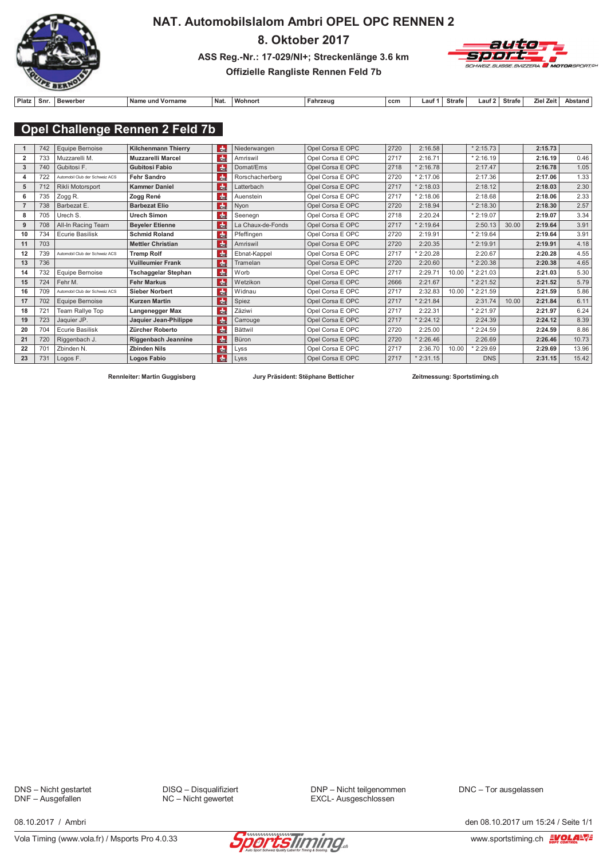

### NAT. Automobilslalom Ambri OPEL OPC RENNEN 2

8. Oktober 2017

ASS Reg.-Nr.: 17-029/NI+; Streckenlänge 3.6 km



### Offizielle Rangliste Rennen Feld 7b

| Platz | Snr. | Bewerber | Nam<br>und Vorname | ้ Naเ. | <b>Wohnon</b> | Fahrzeug | ccm | auf | Strafe | . auf | <b>Strafe</b> | <b>Zeit</b><br>7iel | Abstand |
|-------|------|----------|--------------------|--------|---------------|----------|-----|-----|--------|-------|---------------|---------------------|---------|

## Opel Challenge Rennen 2 Feld 7b

|                | 742 | <b>Equipe Bernoise</b>         | <b>Kilchenmann Thierry</b> | l da∍           | Niederwangen      | Opel Corsa E OPC | 2720 | 2:16.58    |       | $*2:15.73$ |       | 2:15.73 |       |
|----------------|-----|--------------------------------|----------------------------|-----------------|-------------------|------------------|------|------------|-------|------------|-------|---------|-------|
| $\overline{2}$ | 733 | Muzzarelli M.                  | <b>Muzzarelli Marcel</b>   | $\frac{1}{6}$   | Amriswil          | Opel Corsa E OPC | 2717 | 2:16.71    |       | $*2:16.19$ |       | 2:16.19 | 0.46  |
| 3              | 740 | Gubitosi F.                    | <b>Gubitosi Fabio</b>      | die.            | Domat/Ems         | Opel Corsa E OPC | 2718 | $*2:16.78$ |       | 2:17.47    |       | 2:16.78 | 1.05  |
|                | 722 | Automobil Club der Schweiz ACS | <b>Fehr Sandro</b>         | $th$            | Rorschacherberg   | Opel Corsa E OPC | 2720 | $*2:17.06$ |       | 2:17.36    |       | 2:17.06 | 1.33  |
| 5              | 712 | Rikli Motorsport               | <b>Kammer Daniel</b>       | $ch$            | Latterbach        | Opel Corsa E OPC | 2717 | $*2:18.03$ |       | 2:18.12    |       | 2:18.03 | 2.30  |
| 6              | 735 | Zogg R.                        | Zogg René                  | <b>de</b>       | Auenstein         | Opel Corsa E OPC | 2717 | $*2:18.06$ |       | 2:18.68    |       | 2:18.06 | 2.33  |
|                | 738 | Barbezat E.                    | <b>Barbezat Elio</b>       | che             | Nyon              | Opel Corsa E OPC | 2720 | 2:18.94    |       | $*2:18.30$ |       | 2:18.30 | 2.57  |
| 8              | 705 | Urech S.                       | <b>Urech Simon</b>         | de              | Seenegn           | Opel Corsa E OPC | 2718 | 2:20.24    |       | $*2:19.07$ |       | 2:19.07 | 3.34  |
| 9              | 708 | All-In Racing Team             | <b>Beyeler Etienne</b>     | de              | La Chaux-de-Fonds | Opel Corsa E OPC | 2717 | $*2:19.64$ |       | 2:50.13    | 30.00 | 2:19.64 | 3.91  |
| 10             | 734 | <b>Ecurie Basilisk</b>         | <b>Schmid Roland</b>       | $\frac{1}{2}$   | Pfeffingen        | Opel Corsa E OPC | 2720 | 2:19.91    |       | $*2:19.64$ |       | 2:19.64 | 3.91  |
| 11             | 703 |                                | <b>Mettler Christian</b>   | <b>de</b>       | Amriswil          | Opel Corsa E OPC | 2720 | 2:20.35    |       | $*2:19.91$ |       | 2:19.91 | 4.18  |
| 12             | 739 | Automobil Club der Schweiz ACS | <b>Tremp Rolf</b>          | $\frac{1}{2}$   | Ebnat-Kappel      | Opel Corsa E OPC | 2717 | $*2:20.28$ |       | 2:20.67    |       | 2:20.28 | 4.55  |
| 13             | 736 |                                | <b>Vuilleumier Frank</b>   | dhe             | Tramelan          | Opel Corsa E OPC | 2720 | 2:20.60    |       | $*2:20.38$ |       | 2:20.38 | 4.65  |
| 14             | 732 | Equipe Bernoise                | <b>Tschaggelar Stephan</b> | dm <sub>E</sub> | Worb              | Opel Corsa E OPC | 2717 | 2:29.71    | 10.00 | $*2:21.03$ |       | 2:21.03 | 5.30  |
| 15             | 724 | Fehr M.                        | <b>Fehr Markus</b>         | die.            | Wetzikon          | Opel Corsa E OPC | 2666 | 2:21.67    |       | $*2:21.52$ |       | 2:21.52 | 5.79  |
| 16             | 709 | Automobil Club der Schweiz ACS | <b>Sieber Norbert</b>      | $H_{\rm H}$     | Widnau            | Opel Corsa E OPC | 2717 | 2:32.83    | 10.00 | $*2:21.59$ |       | 2:21.59 | 5.86  |
| 17             | 702 | Equipe Bernoise                | <b>Kurzen Martin</b>       | $ch$            | Spiez             | Opel Corsa E OPC | 2717 | $*2:21.84$ |       | 2:31.74    | 10.00 | 2:21.84 | 6.11  |
| 18             | 721 | Team Rallye Top                | Langenegger Max            | $\frac{1}{2}$   | Zäziwi            | Opel Corsa E OPC | 2717 | 2:22.31    |       | $*2:21.97$ |       | 2:21.97 | 6.24  |
| 19             | 723 | Jaquier JP.                    | Jaquier Jean-Philippe      | die.            | Carrouge          | Opel Corsa E OPC | 2717 | $*2:24.12$ |       | 2:24.39    |       | 2:24.12 | 8.39  |
| 20             | 704 | <b>Ecurie Basilisk</b>         | Zürcher Roberto            | $\frac{1}{2}$   | Bättwil           | Opel Corsa E OPC | 2720 | 2:25.00    |       | $*2:24.59$ |       | 2:24.59 | 8.86  |
| 21             | 720 | Riggenbach J.                  | Riggenbach Jeannine        | die.            | Büron             | Opel Corsa E OPC | 2720 | $*2:26.46$ |       | 2:26.69    |       | 2:26.46 | 10.73 |
| 22             | 701 | Zbinden N.                     | <b>Zbinden Nils</b>        | $ch$            | Lyss              | Opel Corsa E OPC | 2717 | 2:36.70    | 10.00 | $*2:29.69$ |       | 2:29.69 | 13.96 |
| 23             | 731 | Logos F.                       | Logos Fabio                | $\frac{1}{2}$   | Lyss              | Opel Corsa E OPC | 2717 | $*2:31.15$ |       | <b>DNS</b> |       | 2:31.15 | 15.42 |

Rennleiter: Martin Guggisberg

Jury Präsident: Stëphane Betticher

Zeitmessung: Sportstiming.ch

DNS - Nicht gestartet DNF - Ausgefallen

DISQ - Disqualifiziert NC - Nicht gewertet

DNP - Nicht teilgenommen EXCL- Ausgeschlossen

DNC - Tor ausgelassen



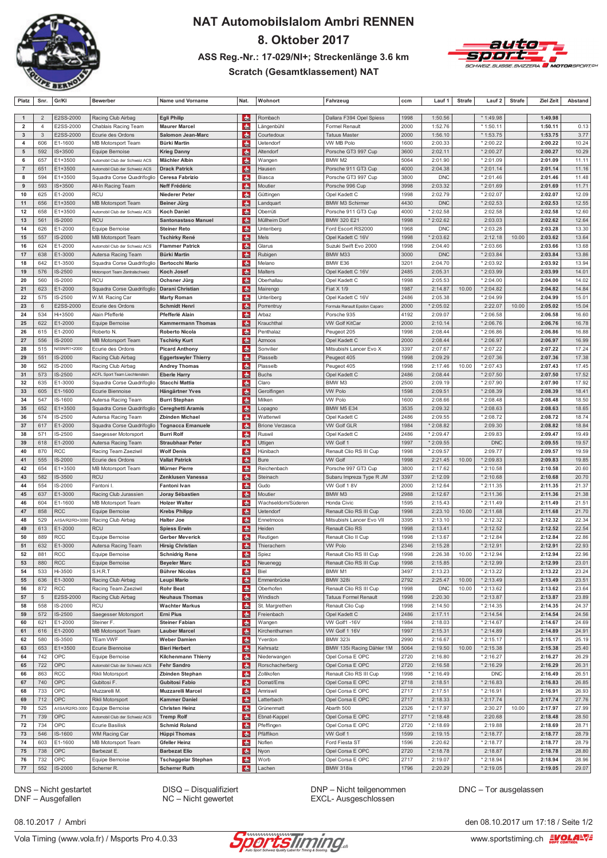

# **NAT Automobilslalom Ambri RENNEN** 8. Oktober 2017 ASS Reg.-Nr.: 17-029/NI+; Streckenlänge 3.6 km



### **Scratch (Gesamtklassement) NAT**

| Platz                   | Snr.            | Gr/KI              | <b>Bewerber</b>                                    | Name und Vorname                        | Nat.            | Wohnort                | Fahrzeug                       | ccm          | Lauf 1             | <b>Strafe</b> | Lauf 2                 | <b>Strafe</b> | Ziel Zeit          | <b>Abstand</b> |
|-------------------------|-----------------|--------------------|----------------------------------------------------|-----------------------------------------|-----------------|------------------------|--------------------------------|--------------|--------------------|---------------|------------------------|---------------|--------------------|----------------|
|                         |                 |                    |                                                    |                                         |                 |                        |                                |              |                    |               |                        |               |                    |                |
| $\mathbf{1}$            | $\overline{2}$  | E2SS-2000          | Racing Club Airbag                                 | <b>Egli Philip</b>                      | <b>de</b>       | Rombach                | Dallara F394 Opel Spiess       | 1998         | 1:50.56            |               | * 1:49.98              |               | 1:49.98            |                |
| $\overline{\mathbf{2}}$ | $\overline{4}$  | E2SS-2000          | Chablais Racing Team                               | <b>Maurer Marcel</b>                    | <b>de</b>       | Längenbühl             | Formel Renault                 | 2000         | 1:52.76            |               | * 1:50.11              |               | 1:50.11            | 0.13           |
| $\mathbf{3}$            | 3               | E2SS-2000          | Ecurie des Ordons                                  | <b>Salomon Jean-Marc</b>                | du.             | Courtedoux             | <b>Tatuus Master</b>           | 2000         | 1:56.10            |               | * 1:53.75              |               | 1:53.75            | 3.77           |
| 4                       | 606             | E1-1600            | <b>MB Motorsport Team</b>                          | <b>Bürki Martin</b>                     | du.             | Uetendorf              | VW MB Polo                     | 1600         | 2:00.33            |               | * 2:00.22              |               | 2:00.22            | 10.24          |
| ${\bf 5}$               | 592             | IS+3500            | Equipe Bernoise                                    | <b>Krieg Danny</b>                      | <b>de</b>       | Altendorf              | Porsche GT3 997 Cup            | 3600         | 2:02.11            |               | * 2:00.27              |               | 2:00.27            | 10.29          |
| 6                       | 657             | E1+3500            | Automobil Club der Schweiz ACS                     | <b>Mächler Albin</b>                    | $\frac{1}{2}$   | Wangen                 | BMW M2                         | 5064         | 2:01.90            |               | * 2:01.09              |               | 2:01.09            | 11.11          |
| $\overline{7}$          | 651             | E1+3500            | Automobil Club der Schweiz ACS                     | <b>Drack Patrick</b>                    | <b>de</b>       | Hausen                 | Porsche 911 GT3 Cup            | 4000         | 2:04.38            |               | $*2:01.14$             |               | 2:01.14            | 11.16          |
| 8                       | 594             | E1+3500            | Squadra Corse Quadrifoglio                         | Ceresa Fabrizio                         | du.             | Biasca                 | Porsche GT3 997 Cup            | 3800         | <b>DNC</b>         |               | * 2:01.46              |               | 2:01.46            | 11.48          |
| 9                       | 593             | IS+3500            | All-In Racing Team                                 | Neff Frédéric                           | <b>CHE</b>      | Moutier                | Porsche 996 Cup                | 3998         | 2:03.32            |               | * 2:01.69              |               | 2:01.69            | 11.71          |
| 10                      | 625             | E1-2000            | <b>RCU</b>                                         | <b>Niederer Peter</b>                   | $\frac{1}{2}$   | Güttingen              | Opel Kadett C                  | 1998         | 2:02.79            |               | * 2:02.07              |               | 2:02.07            | 12.09          |
| 11                      | 656             | $E1 + 3500$        | MB Motorsport Team                                 | Beiner Jürg                             | 肅               | Landquart              | <b>BMW M3 Schirmer</b>         | 4430         | <b>DNC</b>         |               | * 2:02.53              |               | 2:02.53            | 12.55          |
| 12                      | 658             | E1+3500            | Automobil Club der Schweiz ACS                     | <b>Koch Daniel</b>                      | do.             | Oberrüti               | Porsche 911 GT3 Cup            | 4000         | * 2:02.58          |               | 2:02.58                |               | 2:02.58            | 12.60          |
| 13                      | 561             | IS-2000            | <b>RCU</b>                                         | <b>Santonastaso Manuel</b>              | du.             | Müllheim Dorf          | BMW 320 E21                    | 1998         | *2:02.62           |               | 2:03.03                |               | 2:02.62            | 12.64          |
| 14                      | 626             | E1-2000            | Equipe Bernoise                                    | <b>Steiner Reto</b>                     | <b>CHE</b>      | Unteriberg             | Ford Escort RS2000             | 1968         | <b>DNC</b>         |               | * 2:03.28              |               | 2:03.28            | 13.30          |
| 15                      | 557             | IS-2000            | <b>MB Motorsport Team</b>                          | <b>Tschirky René</b>                    | <b>de</b>       | Mels                   | Opel Kadett C 16V              | 1998         | * 2:03.62          |               | 2:12.18                | 10.00         | 2:03.62            | 13.64          |
| 16                      | 624             | E1-2000            | Automobil Club der Schweiz ACS                     | <b>Flammer Patrick</b>                  | $\frac{1}{2}$   | Glarus                 | Suzuki Swift Evo 2000          | 1998         | 2:04.40            |               | * 2:03.66              |               | 2:03.66            | 13.68          |
| 17                      | 638             | E1-3000            | Autersa Racing Team                                | <b>Bürki Martin</b>                     | d.              | Rubigen                | BMW M33                        | 3000         | <b>DNC</b>         |               | * 2:03.84              |               | 2:03.84            | 13.86          |
| 18                      | 642             | E1-3500            | Squadra Corse Quadrifoglio                         | <b>Bertocchi Mario</b>                  | du.             | Melano                 | BMW E36                        | 3201         | 2:04.70            |               | * 2:03.92              |               | 2:03.92            | 13.94          |
| 19                      | 576             | IS-2500            | Motorsport Team Zentralschweiz                     | <b>Koch Josef</b>                       | d.              | Malters                | Opel Kadett C 16V              | 2485         | 2:05.31            |               | * 2:03.99              |               | 2:03.99            | 14.01          |
| 20                      | 560             | IS-2000            | <b>RCU</b>                                         | Ochsner Jürg                            | $\frac{1}{2}$   | Oberhallau             | Opel Kadett C                  | 1998         | 2:05.53            |               | * 2:04.00              |               | 2:04.00            | 14.02          |
| 21                      | 623             | E1-2000            | Squadra Corse Quadrifoglio                         | Darani Christian                        | $\frac{1}{2}$   | Mairengo               | Fiat X 1/9                     | 1987         | 2:14.87            | 10.00         | * 2:04.82              |               | 2:04.82            | 14.84          |
| 22                      | 575             | IS-2500            | W.M. Racing Car                                    | <b>Marty Roman</b>                      | das             | Unteriberg             | Opel Kadett C 16V              | 2486         | 2:05.38            |               | * 2:04.99              |               | 2:04.99            | 15.01          |
| 23                      | $6\phantom{1}6$ | E2SS-2000          | Ecurie des Ordons                                  | <b>Schmidt Henri</b>                    | 肅               | Porrentruy             | Formula Renault Epsilon Caparo | 2000         | * 2:05.02          |               | 2:22.07                | 10.00         | 2:05.02            | 15.04          |
| 24                      | 534             | Hi+3500            | Alain Pfefferlé                                    | Pfefferlé Alain                         | d.              | Arbaz                  | Porsche 935                    | 4192         | 2:09.07            |               | * 2:06.58              |               | 2:06.58            | 16.60          |
| 25                      | 622             | E1-2000            | Equipe Bernoise                                    | <b>Kammermann Thomas</b>                | da.             | Krauchthal             | <b>VW Golf KitCar</b>          | 2000         | 2:10.14            |               | * 2:06.76              |               | 2:06.76            | 16.78          |
| 26                      | 615             | E1-2000            | Roberto N.                                         | Roberto Nicola                          | d.              | Penthalaz              | Peugeot 205                    | 1998         | 2:08.44            |               | *2:06.86               |               | 2:06.86            | 16.88          |
| 27                      | 556             | IS-2000            | <b>MB Motorsport Team</b>                          | <b>Tschirky Kurt</b>                    | d.              | Azmoos                 | Opel Kadett C                  | 2000         | 2:08.44            |               | * 2:06.97              |               | 2:06.97            | 16.99          |
| 28                      | 515             | N/ISN/R1+2000      | Ecurie des Ordons                                  | <b>Picard Anthony</b>                   | du.             | Sonvilier              | Mitsubishi Lancer Evo X        | 3397         | 2:07.67            |               | * 2:07.22              |               | 2:07.22            | 17.24          |
| 29                      | 551             | IS-2000            | Racing Club Airbag                                 | <b>Eggertswyler Thierry</b>             | da.             | Plasselb               | Peugeot 405                    | 1998         | 2:09.29            |               | * 2:07.36              |               | 2:07.36            | 17.38          |
| 30                      | 562             | IS-2000            | Racing Club Airbag                                 | <b>Andrey Thomas</b>                    | <b>de</b>       | Plasselb               | Peugeot 405                    | 1998         | 2:17.46            | 10.00         | * 2:07.43              |               | 2:07.43            | 17.45          |
| 31                      | 573             | IS-2500            | ACFL Sport Team Liechtenstein                      | <b>Eberle Harry</b>                     | $\frac{1}{2}$   | <b>Buchs</b>           | Opel Kadett C                  | 2486         | 2:08.44            |               | * 2:07.50              |               | 2:07.50            | 17.52          |
| 32                      | 635             | E1-3000            | Squadra Corse Quadrifoglio                         | <b>Stacchi Mattia</b>                   | das             | Claro                  | BMW M3                         | 2500         | 2:09.19            |               | * 2:07.90              |               | 2:07.90            | 17.92          |
| 33                      | 605             | E1-1600            | Ecurie Biennoise                                   | Hängärtner Yves                         | 肅               | Gerolfingen            | <b>VW Polo</b>                 | 1598         | 2:09.51            |               | * 2:08.39              |               | 2:08.39            | 18.41          |
| 34                      | 547             | IS-1600            | Autersa Racing Team                                | <b>Burri Stephan</b>                    | <b>CHE</b>      | Milken                 | <b>VW Polo</b>                 | 1600         | 2:08.66            |               | $*2:08.48$             |               | 2:08.48            | 18.50          |
| 35                      | 652             | E1+3500            | Squadra Corse Quadrifoglio                         | <b>Cereghetti Aramis</b>                | da.             | Lopagno                | BMW M5 E34                     | 3535         | 2:09.32            |               | * 2:08.63              |               | 2:08.63            | 18.65          |
| 36                      | 574             | IS-2500            | Autersa Racing Team                                | <b>Zbinden Michael</b>                  | d.              | Wattenwil              | Opel Kadett C                  | 2486         | 2:09.55            |               | * 2:08.72              |               | 2:08.72            | 18.74          |
| 37                      | 617             | E1-2000            | Squadra Corse Quadrifoglio                         | <b>Tognacca Emanuele</b>                | Ida⊫            | <b>Brione Verzasca</b> | <b>VW Golf GLR</b>             | 1984         | * 2:08.82          |               | 2:09.30                |               | 2:08.82            | 18.84          |
| 38                      | 571             | IS-2500            | Saegesser Motorsport                               | <b>Burri Rolf</b>                       | 肅               | Ruswil                 | Opel Kadett C                  | 2486         | $*2:09.47$         |               | 2:09.83                |               | 2:09.47            | 19.49          |
| 39                      | 618             | E1-2000            | Autersa Racing Team                                | <b>Straubhaar Peter</b>                 | d.              | Uttigen                | VW Golf 1                      | 1997         | * 2:09.55          |               | <b>DNC</b>             |               | 2:09.55            | 19.57          |
| 40                      | 870             | RCC                | Racing Team Zaeziwil                               | <b>Wolf Denis</b>                       | da.             | Hünibach               | Renault Clio RS III Cup        | 1998         | * 2:09.57          |               | 2:09.77                |               | 2:09.57            | 19.59          |
| 41                      | 555             | IS-2000            | Ecurie des Ordons                                  | <b>Vallat Patrick</b>                   | $\frac{1}{2}$   | Bure                   | <b>VW Golf</b>                 | 1998         | 2:21.45            | 10.00         | * 2:09.83              |               | 2:09.83            | 19.85          |
| 42                      | 654             | E1+3500            | <b>MB Motorsport Team</b>                          | Mürner Pierre                           | <b>de</b>       | Reichenbach            | Porsche 997 GT3 Cup            | 3800         | 2:17.62            |               | * 2:10.58              |               | 2:10.58            | 20.60          |
| 43                      | 582             | IS-3500            | <b>RCU</b>                                         | Zenklusen Vanessa                       | 肅               | Steinach               | Subaru Impreza Type R JM       | 3397         | 2:12.09            |               | *2:10.68               |               | 2:10.68            | 20.70          |
| 44<br>45                | 554<br>637      | IS-2000<br>E1-3000 | Fantoni I.                                         | Fantoni Ivan                            | d.<br><b>de</b> | Gudo<br>Moutier        | VW Golf 18V<br>BMW M3          | 2000<br>2988 | 2:12.64<br>2:12.67 |               | * 2:11.35<br>* 2:11.36 |               | 2:11.35<br>2:11.36 | 21.37<br>21.38 |
| 46                      | 604             | E1-1600            | Racing Club Jurassien<br><b>MB Motorsport Team</b> | Joray Sébastien<br><b>Holzer Walter</b> | <b>die</b>      | Wachseldorn/Süderen    | Honda Civic                    | 1595         | 2:15.43            |               | * 2:11.49              |               | 2:11.49            | 21.51          |
| 47                      | 858             | <b>RCC</b>         | Equipe Bernoise                                    | <b>Krebs Philipp</b>                    | <b>de</b>       | Uetendorf              | Renault Clio RS III Cup        | 1998         | 2:23.10            | 10.00         | * 2:11.68              |               | 2:11.68            | 21.70          |
| 48                      | 529             | A/ISA/R2/R3+3000   | Racing Club Airbag                                 | <b>Halter Joe</b>                       | da.             | Ennetmoos              | Mitsubishi Lancer Evo VII      | 3395         | 2:13.10            |               | * 2:12.32              |               | 2:12.32            | 22.34          |
| 49                      | 613             | E1-2000            | <b>RCU</b>                                         | <b>Spiess Erwin</b>                     | du.             | Heiden                 | Renault Clio RS                | 1998         | 2:13.41            |               | * 2:12.52              |               | 2:12.52            | 22.54          |
| 50                      | 889             | <b>RCC</b>         | Equipe Bernoise                                    | <b>Gerber Meverick</b>                  | <b>d</b>        | Reutigen               | Renault Clio II Cup            | 1998         | 2:13.67            |               | * 2:12.84              |               | 2:12.84            | 22.86          |
| 51                      | 632             | E1-3000            | Autersa Racing Team                                | <b>Hirsig Christian</b>                 | <b>de</b>       | Thierachern            | <b>VW Polo</b>                 | 2346         | 2:15.28            |               | * 2:12.91              |               | 2:12.91            | 22.93          |
| 52                      | 881             | RCC                |                                                    | <b>Schnidrig Rene</b>                   |                 |                        | Renault Clio RS III Cup        | 1998         | 2:26.38            | 10.00         | $*2:12.94$             |               | 2:12.94            | 22.96          |
| 53                      | 880             | <b>RCC</b>         | Equipe Bernoise<br>Equipe Bernoise                 | <b>Beyeler Marc</b>                     | CHE<br>CHE      | Spiez<br>Neuenegg      | Renault Clio RS III Cup        | 1998         | 2:15.85            |               | * 2:12.99              |               | 2:12.99            | 23.01          |
| 54                      | 533             | Hi-3500            | S.H.R.T                                            | <b>Bührer Nicolas</b>                   | dhe             | Biel                   | BMW M1                         | 3497         | 2:13.23            |               | * 2:13.22              |               | 2:13.22            | 23.24          |
| 55                      | 636             | E1-3000            | Racing Club Airbag                                 | Leupi Mario                             | da.             | Emmenbrücke            | <b>BMW 328i</b>                | 2792         | 2:25.47            | 10.00         | $*2:13.49$             |               | 2:13.49            | 23.51          |
| 56                      | 872             | RCC                | Racing Team Zaeziwil                               | <b>Rohr Beat</b>                        | da              | Oberhofen              | Renault Clio RS III Cup        | 1998         | <b>DNC</b>         | 10.00         | * 2:13.62              |               | 2:13.62            | 23.64          |
| 57                      | $\overline{5}$  | E2SS-2000          | Racing Club Airbag                                 | <b>Neuhaus Thomas</b>                   | <b>CHE</b>      | Windisch               | <b>Tatuus Formel Renault</b>   | 1998         | 2:20.30            |               | * 2:13.87              |               | 2:13.87            | 23.89          |
| 58                      | 558             | IS-2000            | <b>RCU</b>                                         | <b>Wachter Markus</b>                   | die             | St. Margrethen         | Renault Clio Cup               | 1998         | 2:14.50            |               | $*2:14.35$             |               | 2:14.35            | 24.37          |
| 59                      | 572             | IS-2500            | Saegesser Motorsport                               | <b>Erni Pius</b>                        | $\frac{1}{2}$   | Freienbach             | Opel Kadett C                  | 2486         | 2:17.11            |               | $*2:14.54$             |               | 2:14.54            | 24.56          |
| 60                      | 621             | E1-2000            | Steiner F.                                         | <b>Steiner Fabian</b>                   | da.             | Wangen                 | VW Golf1 -16V                  | 1984         | 2:18.03            |               | $*2:14.67$             |               | 2:14.67            | 24.69          |
| 61                      | 616             | E1-2000            | MB Motorsport Team                                 | <b>Lauber Marcel</b>                    | da              | Kirchenthurnen         | VW Golf 1 16V                  | 1997         | 2:15.31            |               | * 2:14.89              |               | 2:14.89            | 24.91          |
| 62                      | 580             | IS-3500            | <b>TEam VWF</b>                                    | <b>Weber Damien</b>                     | die             | Yverdon                | <b>BMW 323i</b>                | 2990         | 2:16.67            |               | $*2:15.17$             |               | 2:15.17            | 25.19          |
| 63                      | 653             | E1+3500            | Ecurie Biennoise                                   | <b>Bieri Herbert</b>                    | $\frac{1}{2}$   | Kehrsatz               | BMW 135i Racing Dähler 1M      | 5064         | 2:19.50            | 10.00         | $*2:15.38$             |               | 2:15.38            | 25.40          |
| 64                      | 742             | OPC                | Equipe Bernoise                                    | Kilchenmann Thierry                     | dh.             | Niederwangen           | Opel Corsa E OPC               | 2720         | 2:16.80            |               | * 2:16.27              |               | 2:16.27            | 26.29          |
| 65                      | 722             | OPC                | Automobil Club der Schweiz ACS                     | <b>Fehr Sandro</b>                      | das             | Rorschacherberg        | Opel Corsa E OPC               | 2720         | 2:16.58            |               | * 2:16.29              |               | 2:16.29            | 26.31          |
| 66                      | 863             | RCC                | Rikli Motorsport                                   | Zbinden Stephan                         | $th$            | Zollikofen             | Renault Clio RS III Cup        | 1998         | $*2:16.49$         |               | <b>DNC</b>             |               | 2:16.49            | 26.51          |
| 67                      | 740             | OPC                | Gubitosi F.                                        | <b>Gubitosi Fabio</b>                   | <b>CHE</b>      | Domat/Ems              | Opel Corsa E OPC               | 2718         | 2:18.51            |               | $*2:16.83$             |               | 2:16.83            | 26.85          |
| 68                      | 733             | OPC                | Muzzarelli M.                                      | <b>Muzzarelli Marcel</b>                | die             | Amriswil               | Opel Corsa E OPC               | 2717         | 2:17.51            |               | *2:16.91               |               | 2:16.91            | 26.93          |
| 69                      | 712             | <b>OPC</b>         | Rikli Motorsport                                   | <b>Kammer Daniel</b>                    | <b>do</b>       | Latterbach             | Opel Corsa E OPC               | 2717         | 2:18.33            |               | $*2:17.74$             |               | 2:17.74            | 27.76          |
| 70                      | 525             | A/ISA/R2/R3-3000   | Equipe Bernoise                                    | <b>Christen Heinz</b>                   | da.             | Grünenmatt             | Abarth 500                     | 2326         | * 2:17.97          |               | 2:30.27                | 10.00         | 2:17.97            | 27.99          |
| 71                      | 739             | OPC                | Automobil Club der Schweiz ACS                     | <b>Tremp Rolf</b>                       | due             | Ebnat-Kappel           | Opel Corsa E OPC               | 2717         | $*2:18.48$         |               | 2:20.68                |               | 2:18.48            | 28.50          |
| 72                      | 734             | OPC                | Ecurie Basilisk                                    | <b>Schmid Roland</b>                    | die             | Pfeffingen             | Opel Corsa E OPC               | 2720         | * 2:18.69          |               | 2:19.88                |               | 2:18.69            | 28.71          |
| 73                      | 546             | IS-1600            | <b>WM Racing Car</b>                               | <b>Hüppi Thomas</b>                     | $\frac{1}{2}$   | Pfäffikon              | VW Golf 1                      | 1599         | 2:19.15            |               | $*2:18.77$             |               | 2:18.77            | 28.79          |
| 74                      | 603             | E1-1600            | <b>MB Motorsport Team</b>                          | <b>Gfeller Heinz</b>                    | dh.             | Noflen                 | Ford Fiesta ST                 | 1596         | 2:20.62            |               | * 2:18.77              |               | 2:18.77            | 28.79          |
| 75                      | 738             | OPC                | Barbezat E.                                        | <b>Barbezat Elio</b>                    | <b>do</b>       | Nyon                   | Opel Corsa E OPC               | 2720         | $*2:18.78$         |               | 2:18.87                |               | 2:18.78            | 28.80          |
| 76                      | 732             | OPC                | Equipe Bernoise                                    | <b>Tschaggelar Stephan</b>              | die             | Worb                   | Opel Corsa E OPC               | 2717         | 2:19.07            |               | * 2:18.94              |               | 2:18.94            | 28.96          |
| 77                      | 552             | IS-2000            | Scherrer R.                                        | <b>Scherrer Ruth</b>                    | <b>True</b>     | Lachen                 | <b>BMW 318is</b>               | 1796         | 2:20.29            |               | $*2:19.05$             |               | 2:19.05            | 29.07          |

DNS – Nicht gestartet<br>DNF – Ausgefallen

DISQ - Disqualifiziert NC - Nicht gewertet

DNP - Nicht teilgenommen EXCL- Ausgeschlossen

DNC - Tor ausgelassen

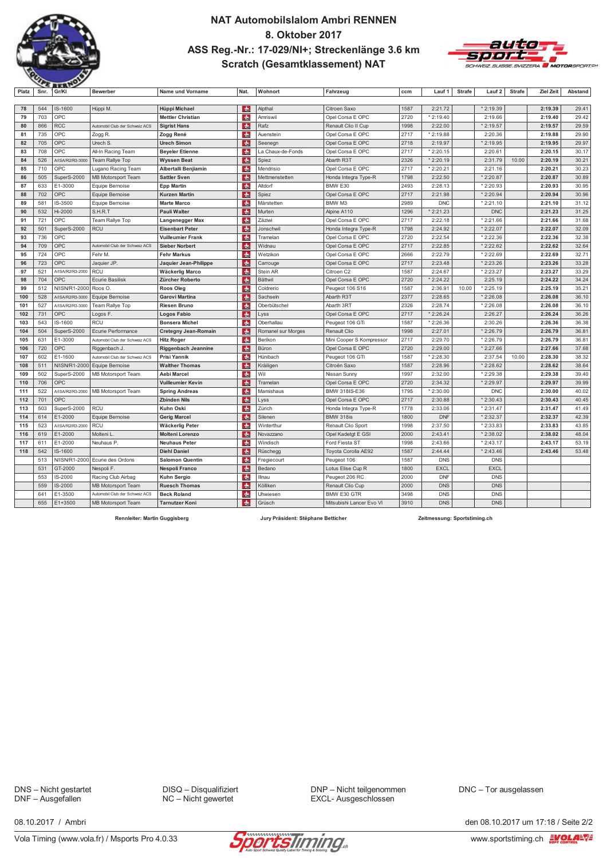

### NAT Automobilslalom Ambri RENNEN 8. Oktober 2017 ASS Reg.-Nr.: 17-029/NI+; Streckenlänge 3.6 km **Scratch (Gesamtklassement) NAT**



| Platz | Snr. | Gr/KI            | <b>Bewerber</b>                | Name und Vorname            | Nat.          | Wohnort            | Fahrzeug                 | ccm  | Lauf 1      | <b>Strafe</b> | Lauf 2                 | <b>Strafe</b> | <b>Ziel Zeit</b> | Abstand |
|-------|------|------------------|--------------------------------|-----------------------------|---------------|--------------------|--------------------------|------|-------------|---------------|------------------------|---------------|------------------|---------|
|       |      |                  |                                |                             |               |                    |                          |      |             |               |                        |               |                  |         |
| 78    | 544  | IS-1600          | Hüppi M.                       | Hüppi Michael               | <b>do</b>     | Alpthal            | Citroen Saxo             | 1587 | 2:21.72     |               | * 2:19.39              |               | 2:19.39          | 29.41   |
| 79    | 703  | OPC              |                                | <b>Mettler Christian</b>    | do.           | Amriswil           | Opel Corsa E OPC         | 2720 | $*2:19.40$  |               | 2:19.66                |               | 2:19.40          | 29.42   |
| 80    | 866  | <b>RCC</b>       | Automobil Club der Schweiz ACS | <b>Sigrist Hans</b>         | $\frac{1}{2}$ | Rafz               | Renault Clio II Cup      | 1998 | 2:22.00     |               | * 2:19.57              |               | 2:19.57          | 29.59   |
| 81    | 735  | OPC              | Zogg R.                        | Zogg René                   | <b>do</b>     | Auenstein          | Opel Corsa E OPC         | 2717 | $*2:19.88$  |               | 2:20.36                |               | 2:19.88          | 29.90   |
| 82    | 705  | OPC              | Urech S                        | <b>Urech Simon</b>          | <b>das</b>    | Seenegn            | Opel Corsa E OPC         | 2718 | 2:19.97     |               | $*2:19.95$             |               | 2:19.95          | 29.97   |
| 83    | 708  | OPC              | All-In Racing Team             | <b>Beyeler Etienne</b>      | <b>dhe</b>    | La Chaux-de-Fonds  | Opel Corsa E OPC         | 2717 | $*2:20.15$  |               | 2:20.61                |               | 2:20.15          | 30.17   |
| 84    | 526  | A/ISA/R2/R3-3000 | Team Rallye Top                | <b>Wyssen Beat</b>          | <b>de</b>     | Spiez              | Abarth R3T               | 2326 | * 2:20.19   |               | 2:31.79                | 10.00         | 2:20.19          | 30.21   |
| 85    | 710  | OPC              | Lugano Racing Team             | Albertalli Benjiamin        | <b>do</b>     | Mendrisio          | Opel Corsa E OPC         | 2717 | $*2:20.21$  |               | 2:21.16                |               | 2:20.21          | 30.23   |
| 86    | 505  | SuperS-2000      | MB Motorsport Team             | <b>Sattler Sven</b>         | da.           | Mettmenstetten     | Honda Integra Type-R     | 1798 | 2:22.50     |               | $*2:20.87$             |               | 2:20.87          | 30.89   |
| 87    | 633  | E1-3000          | Equipe Bernoise                | <b>Epp Martin</b>           | da.           | Altdorf            | BMW E30                  | 2493 | 2:28.13     |               | $*2:20.93$             |               | 2:20.93          | 30.95   |
| 88    | 702  | <b>OPC</b>       | Equipe Bernoise                | <b>Kurzen Martin</b>        | $th$          | Spiez              | Opel Corsa E OPC         | 2717 | 2:21.98     |               | $*2:20.94$             |               | 2:20.94          | 30.96   |
| 89    | 581  | IS-3500          | Equipe Bernoise                | <b>Marte Marco</b>          | do.           | Märstetten         | BMW M3                   | 2989 | <b>DNC</b>  |               | $*2:21.10$             |               | 2:21.10          | 31.12   |
| 90    | 532  | Hi-2000          | S.H.R.T                        | <b>Pauli Walter</b>         | <b>do</b>     | Murten             | Alpine A110              | 1296 | $*2:21.23$  |               | <b>DNC</b>             |               | 2:21.23          | 31.25   |
| 91    | 721  | OPC              | Team Rallye Top                | Langenegger Max             | de            | Zäziwi             | Opel Corsa E OPC         | 2717 | 2:22.18     |               | $\overline{1}$ 2:21.66 |               | 2:21.66          | 31.68   |
| 92    | 501  | SuperS-2000      | <b>RCU</b>                     | <b>Eisenbart Peter</b>      | <b>do</b>     | Jonschwil          | Honda Integra Type-R     | 1798 | 2:24.92     |               | $*2:22.07$             |               | 2:22.07          | 32.09   |
| 93    | 736  | OPC              |                                | <b>Vuilleumier Frank</b>    | <b>do</b>     | Tramelan           | Opel Corsa E OPC         | 2720 | 2:22.54     |               | * 2:22.36              |               | 2:22.36          | 32.38   |
| 94    | 709  | OPC              | Automobil Club der Schweiz ACS | <b>Sieber Norbert</b>       | $\frac{1}{2}$ | Widnau             | Opel Corsa E OPC         | 2717 | 2:22.85     |               | * 2:22.62              |               | 2:22.62          | 32.64   |
| 95    | 724  | OPC              | Fehr M                         | <b>Fehr Markus</b>          | <b>de</b>     | Wetzikon           | Opel Corsa E OPC         | 2666 | 2:22.79     |               | * 2:22.69              |               | 2:22.69          | 32.71   |
| 96    | 723  | OPC              | Jaquier JP.                    | Jaquier Jean-Philippe       | $\frac{1}{2}$ | Carrouge           | Opel Corsa E OPC         | 2717 | 2:23.48     |               | * 2:23.26              |               | 2:23.26          | 33.28   |
| 97    | 521  | A/ISA/R2/R3-2000 | <b>RCU</b>                     | <b>Wäckerlig Marco</b>      | <b>do</b>     | Stein AR           | Citroen C2               | 1587 | 2:24.67     |               | $*2:23.27$             |               | 2:23.27          | 33.29   |
| 98    | 704  | OPC              | <b>Ecurie Basilisk</b>         | Zürcher Roberto             | <b>de</b>     | Bättwil            | Opel Corsa E OPC         | 2720 | $*2:24.22$  |               | 2:25.19                |               | 2:24.22          | 34.24   |
| 99    | 512  | N/ISN/R1-2000    | Roos O                         | Roos Oleg                   | $\frac{1}{2}$ | Coldrerio          | Peugeot 106 S16          | 1587 | 2:36.91     | 10.00         | $*2:25.19$             |               | 2:25.19          | 35.21   |
| 100   | 528  | A/ISA/R2/R3-3000 | Equipe Bernoise                | <b>Garovi Martina</b>       | dh.           | Sachseln           | Abarth R3T               | 2377 | 2:28.65     |               | $*2:26.08$             |               | 2:26.08          | 36.10   |
| 101   | 527  | A/ISA/R2/R3-3000 | Team Rallye Top                | Riesen Bruno                | <b>de</b>     | Oberbütschel       | Abarth 3RT               | 2326 | 2:28.74     |               | * 2:26.08              |               | 2:26.08          | 36.10   |
| 102   | 731  | OPC              | Logos F.                       | <b>Logos Fabio</b>          | <b>do</b>     | Lyss               | Opel Corsa E OPC         | 2717 | $*2:26.24$  |               | 2:26.27                |               | 2:26.24          | 36.26   |
| 103   | 543  | IS-1600          | <b>RCU</b>                     | <b>Bonsera Michel</b>       | <b>do</b>     | Oberhallau         | Peugeot 106 GTi          | 1587 | * 2:26.36   |               | 2:30.26                |               | 2:26.36          | 36.38   |
| 104   | 504  | SuperS-2000      | Ecurie Performance             | <b>Cretegny Jean-Romain</b> | <b>das</b>    | Romanel sur Morges | Renault Clio             | 1998 | 2:27.01     |               | $*2:26.79$             |               | 2:26.79          | 36.81   |
| 105   | 631  | E1-3000          | Automobil Club der Schweiz ACS | <b>Hitz Roger</b>           | <b>do</b>     | Berikon            | Mini Cooper S Kompressor | 2717 | 2:29.70     |               | * 2:26.79              |               | 2:26.79          | 36.81   |
| 106   | 720  | OPC              | Riggenbach J.                  | Riggenbach Jeannine         | da.           | Büron              | Opel Corsa E OPC         | 2720 | 2:29.00     |               | $*2:27.66$             |               | 2:27.66          | 37.68   |
| 107   | 602  | E1-1600          | Automobil Club der Schweiz ACS | Prisi Yannik                | da.           | Hünibach           | Peugeot 106 GTI          | 1587 | $*2:28.30$  |               | 2:37.54                | 10.00         | 2:28.30          | 38.32   |
| 108   | 511  | N/ISN/R1-2000    | Equipe Bernoise                | <b>Walther Thomas</b>       | <b>de</b>     | Kräiligen          | Citroën Saxo             | 1587 | 2:28.96     |               | $*2:28.62$             |               | 2:28.62          | 38.64   |
| 109   | 502  | SuperS-2000      | <b>MB Motorsport Team</b>      | <b>Aebi Marcel</b>          | <b>do</b>     | Wil                | Nissan Sunny             | 1997 | 2:32.00     |               | $*2:29.38$             |               | 2:29.38          | 39.40   |
| 110   | 706  | OPC              |                                | <b>Vuilleumier Kevin</b>    | <b>das</b>    | Tramelan           | Opel Corsa E OPC         | 2720 | 2:34.32     |               | * 2:29.97              |               | 2:29.97          | 39.99   |
| 111   | 522  | A/ISA/R2/R3-2000 | MB Motorsport Team             | <b>Spring Andreas</b>       | <b>de</b>     | Mamishaus          | BMW 318IS-E36            | 1795 | 2:30.00     |               | <b>DNC</b>             |               | 2:30.00          | 40.02   |
| 112   | 701  | <b>OPC</b>       |                                | <b>Zbinden Nils</b>         | <b>do</b>     | Lyss               | Opel Corsa E OPC         | 2717 | 2:30.88     |               | $*2:30.43$             |               | 2:30.43          | 40.45   |
| 113   | 503  | SuperS-2000      | <b>RCU</b>                     | Kuhn Oski                   | <b>das</b>    | Zürich             | Honda Integra Type-R     | 1778 | 2:33.06     |               | $*2:31.47$             |               | 2:31.47          | 41.49   |
| 114   | 614  | E1-2000          | Equipe Bernoise                | <b>Gerig Marcel</b>         | <b>do</b>     | Silenen            | <b>BMW 318is</b>         | 1800 | <b>DNF</b>  |               | $*2:32.37$             |               | 2:32.37          | 42.39   |
| 115   | 523  | A/ISA/R2/R3-2000 | <b>RCU</b>                     | <b>Wäckerlig Peter</b>      | <b>de</b>     | Winterthur         | Renault Clio Sport       | 1998 | 2:37.50     |               | $*2:33.83$             |               | 2:33.83          | 43.85   |
| 116   | 619  | E1-2000          | Molteni L                      | <b>Molteni Lorenzo</b>      | do.           | Novazzano          | Opel Kadetgt E GSI       | 2000 | 2:43.41     |               | $*2:38.02$             |               | 2:38.02          | 48.04   |
| 117   | 611  | E1-2000          | Neuhaus P.                     | <b>Neuhaus Peter</b>        | <b>do</b>     | Windisch           | Ford Fiesta ST           | 1998 | 2:43.66     |               | $*2:43.17$             |               | 2:43.17          | 53.19   |
| 118   | 542  | IS-1600          |                                | <b>Diehl Daniel</b>         | <b>de</b>     | Rüschegg           | Toyota Corolla AE92      | 1587 | 2:44.44     |               | $*2:43.46$             |               | 2:43.46          | 53.48   |
|       | 513  | N/ISN/R1-2000    | Ecurie des Ordons              | <b>Salomon Quentin</b>      | <b>do</b>     | Fregiecourt        | Peugeot 106              | 1587 | <b>DNS</b>  |               | <b>DNS</b>             |               |                  |         |
|       | 531  | GT-2000          | Nespoli F                      | <b>Nespoli Franco</b>       | <b>do</b>     | Bedano             | Lotus Elise Cup R        | 1800 | <b>EXCL</b> |               | <b>EXCL</b>            |               |                  |         |
|       | 553  | IS-2000          | Racing Club Airbag             | Kuhn Sergio                 | do.           | Illnau             | Peugeot 206 RC           | 2000 | <b>DNF</b>  |               | <b>DNS</b>             |               |                  |         |
|       | 559  | IS-2000          | <b>MB Motorsport Team</b>      | <b>Ruesch Thomas</b>        | $\frac{1}{2}$ | Kölliken           | Renault Clio Cup         | 2000 | <b>DNS</b>  |               | <b>DNS</b>             |               |                  |         |
|       | 641  | E1-3500          | Automobil Club der Schweiz ACS | <b>Beck Roland</b>          | $\frac{1}{2}$ | Uhwiesen           | <b>BMW E30 GTR</b>       | 3498 | <b>DNS</b>  |               | <b>DNS</b>             |               |                  |         |
|       | 655  | $E1 + 3500$      | <b>MB Motorsport Team</b>      | <b>Tarnutzer Koni</b>       | <b>do</b>     | Grüsch             | Mitsubishi Lancer Evo VI | 3910 | <b>DNS</b>  |               | <b>DNS</b>             |               |                  |         |

Rennleiter: Martin Guggisberg

Jury Präsident: Stëphane Betticher

Zeitmessung: Sportstiming.ch

DNS - Nicht gestartet<br>DNF - Ausgefallen

DISQ - Disqualifiziert NC - Nicht gewertet

DNP - Nicht teilgenommen EXCL- Ausgeschlossen

DNC - Tor ausgelassen



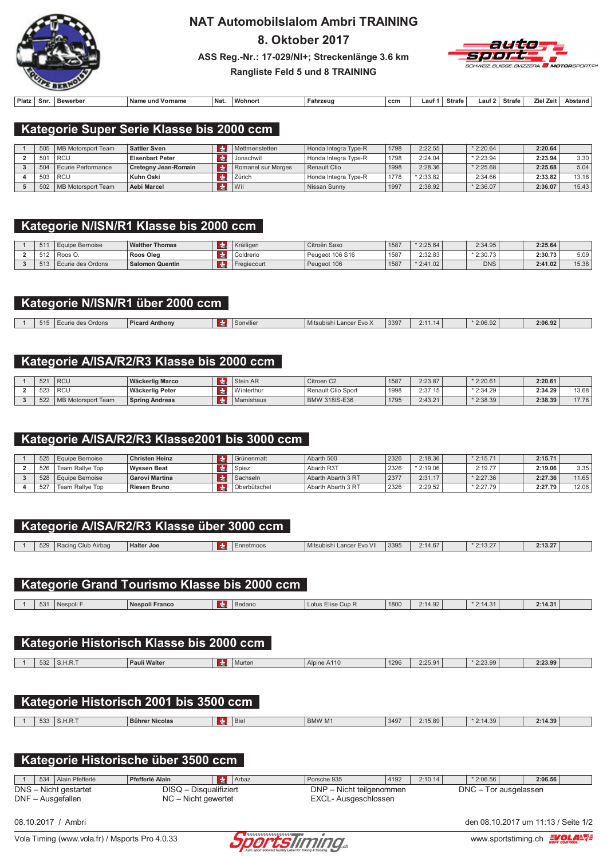

# **NAT Automobilslalom Ambri TRAINING**

8. Oktober 2017



ASS Reg.-Nr.: 17-029/NI+; Streckenlänge 3.6 km Rangliste Feld 5 und 8 TRAINING

| Platz | Snr. | Bewerber | und Vorname<br>∵Nam⊾ | ี Naเ | $\cdots$<br>Wohnor | Fahrzeug | ccn | . auf | Strafe | ∟aut ' | <b>Strafe</b> | $\mathbf{z}$<br>Zeit | Abstand |
|-------|------|----------|----------------------|-------|--------------------|----------|-----|-------|--------|--------|---------------|----------------------|---------|

### Kategorie Super Serie Klasse bis 2000 ccm

|                 | 505   MB Motorsport Team | <b>Sattler Sven</b>    | Mettmenstetten     | Honda Integra Type-R | 1798 | 2:22.55    | $*2:20.64$ | 2:20.64 |       |
|-----------------|--------------------------|------------------------|--------------------|----------------------|------|------------|------------|---------|-------|
| 50 <sup>2</sup> | l RCU                    | <b>Eisenbart Peter</b> | Jonschwil          | Honda Integra Type-R | 1798 | 2:24.04    | $*2:23.94$ | 2:23.94 | 3.30  |
| 504             | Ecurie Performance       | Cretegny Jean-Romain   | Romanel sur Morges | Renault Clio         | 1998 | 2:28.36    | $*2:25.68$ | 2:25.68 | 5.04  |
| 503             | l RCU                    | Kuhn Oski              | Zürich             | Honda Integra Type-R | 1778 | $*2:33.82$ | 2:34.66    | 2:33.82 | 13.18 |
| 502             | MB Motorsport Team       | Aebi Marcel            | Wil                | Nissan Sunny         | 1997 | 2:38.92    | $*2:36.07$ | 2:36.07 | 15.43 |

### Kategorie N/ISN/R1 Klasse bis 2000 ccm

| 511 | . Equipe Bernoise | <b>Walther Thomas</b> | <sup>'</sup> Kräiligen | Citroën Saxo    | 1587 | $*2:25.64$ | 2:34.95    | 2:25.64 |       |
|-----|-------------------|-----------------------|------------------------|-----------------|------|------------|------------|---------|-------|
| FAD | 'Roos C.          | <b>Roos Oleg</b>      | Coldrerio              | Peugeot 106 S16 | 1587 | 2:32.83    | $*2:30.73$ | 2:30.73 | 5.09  |
| F A | Ecurie des Ordons | Salomon Quentin       | Fregiecourt            | Peugeot 106     | 1587 | $*2:41.02$ | <b>DNS</b> | 2:41.02 | 15.38 |

### Kategorie N/ISN/R1 über 2000 ccm

| 515 | Ordons | Anthony | <b>SUINING.</b> | Mitsubish.<br>∟ance<br>≡v∪ z | 3397 | $\sim$ $\sim$ | 2:06.92 | 2:06.92 |  |
|-----|--------|---------|-----------------|------------------------------|------|---------------|---------|---------|--|
|     |        |         |                 |                              |      |               |         |         |  |

### Kategorie A/ISA/R2/R3 Klasse bis 2000 ccm

| $52^{\circ}$ | <sup>I</sup> RCU        | Wäckerlig Marco       | <b>Tair</b> | Stein AR   | Citroen C2                | 1587 | 2:23.87 | $*2:20.61$ | 2:20.61 |       |
|--------------|-------------------------|-----------------------|-------------|------------|---------------------------|------|---------|------------|---------|-------|
| 523          | <b>RCU</b>              | l Wäckerlig Peter     |             | Vinterthur | <b>Renault Clio Sport</b> | 1998 | 2:37.15 | $*2:34.29$ | 2:34.29 | 13.68 |
| 522          | ' MB<br>Motorsport Team | <b>Spring Andreas</b> |             | Mamishaus  | <b>BMW 318IS-E36</b>      | 1795 | 2:43.21 | $*2:38.39$ | 2:38.39 | 17.78 |

### Kategorie A/ISA/R2/R3 Klasse2001 bis 3000 ccm

| 525 | Equipe Bernoise | Christen Heinz      | l Grünenmatt | Abarth 500           | 2326 | 2:18.36    | $*2:15.71$ | 2:15.71 |       |
|-----|-----------------|---------------------|--------------|----------------------|------|------------|------------|---------|-------|
| 526 | Team Rallve Top | Wyssen Beat         | Spiez        | Abarth R3T           | 2326 | $*2:19.06$ | 2:19.77    | 2:19.06 | 3.35  |
| 528 | Equipe Bernoise | Garovi Martina      | Sachseln     | Abarth Abarth 3 RT   | 2377 | 2:31.17    | $*2:27.36$ | 2:27.36 | 11.65 |
| 527 | Team Rallve Top | <b>Riesen Bruno</b> | Oberbütschel | l Abarth Abarth 3 RT | 2326 | 2:29.52    | $*2:27.79$ | 2:27.79 | 12.08 |

|     |                    | Kategorie A/ISA/R2/R3 Klasse über 3000 ccm   |                         |                           |      |         |             |         |
|-----|--------------------|----------------------------------------------|-------------------------|---------------------------|------|---------|-------------|---------|
| 529 | Racing Club Airbag | <b>Halter Joe</b>                            | dhe<br>Ennetmoos        | Mitsubishi Lancer Evo VII | 3395 | 2:14.67 | $*2:13.27$  | 2:13.27 |
|     |                    |                                              |                         |                           |      |         |             |         |
|     |                    |                                              |                         |                           |      |         |             |         |
|     |                    | Kategorie Grand Tourismo Klasse bis 2000 ccm |                         |                           |      |         |             |         |
|     |                    |                                              |                         |                           |      |         |             |         |
| 531 | Nespoli F.         | <b>Nespoli Franco</b>                        | <b>de</b><br>Bedano     | Lotus Elise Cup R         | 1800 | 2:14.92 | $*2:14.31$  | 2:14.31 |
|     |                    |                                              |                         |                           |      |         |             |         |
|     |                    |                                              |                         |                           |      |         |             |         |
|     |                    | Kategorie Historisch Klasse bis 2000 ccm     |                         |                           |      |         |             |         |
|     |                    |                                              |                         |                           |      |         |             |         |
| 532 | S.H.R.T            | <b>Pauli Walter</b>                          | de<br>Murten            | Alpine A110               | 1296 | 2:25.91 | $*2:23.99$  | 2:23.99 |
|     |                    |                                              |                         |                           |      |         |             |         |
|     |                    |                                              |                         |                           |      |         |             |         |
|     |                    | Kategorie Historisch 2001 bis 3500 ccm       |                         |                           |      |         |             |         |
|     |                    |                                              |                         |                           |      |         |             |         |
| 533 | S.H.R.T            | <b>Bührer Nicolas</b>                        | dm <sub>E</sub><br>Biel | <b>BMW M1</b>             | 3497 | 2:15.89 | $*2:14.39$  | 2:14.39 |
|     |                    |                                              |                         |                           |      |         |             |         |
|     |                    |                                              |                         |                           |      |         |             |         |
|     |                    | Kategorie Historische über 3500 ccm          |                         |                           |      |         |             |         |
|     |                    |                                              |                         |                           |      |         |             |         |
|     |                    | Pfefferlé Alain                              | $\frac{1}{2}$ Arhaz     | Porsche 935               | 4192 | 2.1014  | $*$ 2.06.56 | 2.06.56 |

DNS - Nicht gestartet<br>DNF - Ausgefallen DISQ - Disqualifiziert DNP - Nicht teilgenommen DNC - Tor ausgelassen  $NC -$  Nicht gewertet EXCL- Ausgeschlossen





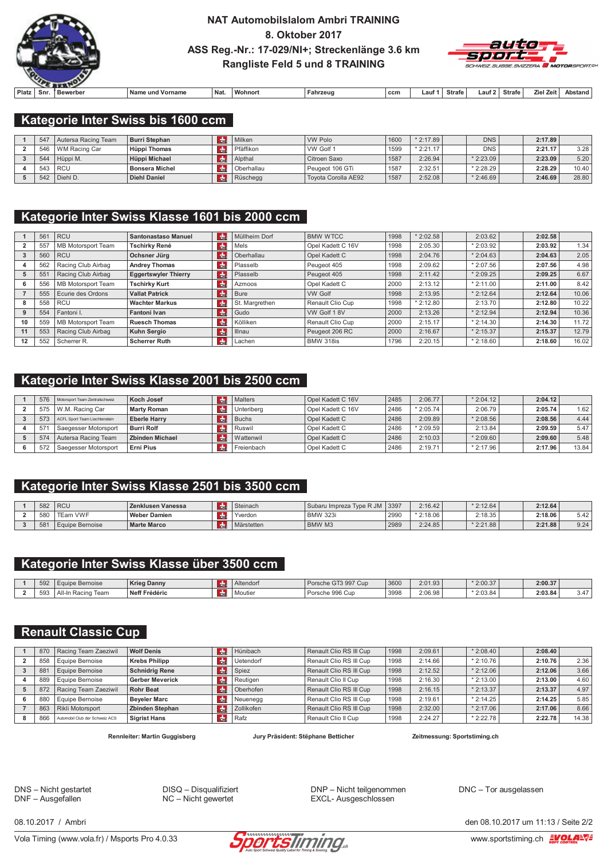

### **NAT Automobilslalom Ambri TRAINING** 8. Oktober 2017 ASS Reg.-Nr.: 17-029/NI+; Streckenlänge 3.6 km **Rangliste Feld 5 und 8 TRAINING**



|       |     | --------- |                        |            |                    |          |     |      |        |     |        |              |         |
|-------|-----|-----------|------------------------|------------|--------------------|----------|-----|------|--------|-----|--------|--------------|---------|
| Platz | Snr | Bewerber  | Namo<br>Vorname<br>und | <b>Nat</b> | $\cdots$<br>Wohnor | Fahrzeug | ccm | _aut | Strafe | aut | Strafe | Zeit<br>Ziel | Abstand |

### Kategorie Inter Swiss bis 1600 ccm

| 547 | Autersa Racing Team | Burri Stephan         | Milken     | <b>VW Polo</b>      | 1600 | $*2:17.89$ | <b>DNS</b> | 2:17.89 |       |
|-----|---------------------|-----------------------|------------|---------------------|------|------------|------------|---------|-------|
| 546 | I WM Racing Car     | Hüppi Thomas          | Pfäffikon  | VW Golf 1           | 1599 | $*2:21.17$ | <b>DNS</b> | 2:21.17 | 3.28  |
| 544 | Hüppi M.            | Hüppi Michael         | Alpthal    | Citroen Saxo        | 1587 | 2:26.94    | $*2:23.09$ | 2:23.09 | 5.20  |
| 543 | l RCU               | <b>Bonsera Michel</b> | Oberhallau | Peugeot 106 GTi     | 1587 | 2:32.51    | $*2:28.29$ | 2:28.29 | 10.40 |
|     | $542$ Diehl D.      | <b>Diehl Daniel</b>   | Rüschegg   | Tovota Corolla AE92 | 1587 | 2:52.08    | $*2:46.69$ | 2:46.69 | 28.80 |

## Kategorie Inter Swiss Klasse 1601 bis 2000 ccm

|    | 56' | <b>RCU</b>         | <b>Santonastaso Manuel</b>  | l dhe          | Müllheim Dorf  | <b>BMW WTCC</b>   | 1998 | $*2:02.58$ | 2:03.62    | 2:02.58 |       |
|----|-----|--------------------|-----------------------------|----------------|----------------|-------------------|------|------------|------------|---------|-------|
|    | 557 | MB Motorsport Team | Tschirky René               | du             | Mels           | Opel Kadett C 16V | 1998 | 2:05.30    | $*2:03.92$ | 2:03.92 | 1.34  |
|    | 560 | <b>RCU</b>         | Ochsner Jürg                | l de           | Oberhallau     | Opel Kadett C     | 1998 | 2:04.76    | $*2:04.63$ | 2:04.63 | 2.05  |
|    | 562 | Racing Club Airbag | <b>Andrey Thomas</b>        | <b>R</b>       | Plasselb       | Peugeot 405       | 1998 | 2:09.62    | $*2:07.56$ | 2:07.56 | 4.98  |
|    | 55' | Racing Club Airbag | <b>Eggertswyler Thierry</b> | l du           | Plasselb       | Peugeot 405       | 1998 | 2:11.42    | $*2:09.25$ | 2:09.25 | 6.67  |
| 6  | 556 | MB Motorsport Team | <b>Tschirky Kurt</b>        | $\frac{1}{2}$  | Azmoos         | Opel Kadett C     | 2000 | 2:13.12    | $*2:11.00$ | 2:11.00 | 8.42  |
|    | 555 | Ecurie des Ordons  | <b>Vallat Patrick</b>       | <b>do</b>      | Bure           | <b>VW Golf</b>    | 1998 | 2:13.95    | $*2:12.64$ | 2:12.64 | 10.06 |
| 8  | 558 | <b>RCU</b>         | <b>Wachter Markus</b>       | $\frac{1}{2}$  | St. Margrethen | Renault Clio Cup  | 1998 | $*2:12.80$ | 2:13.70    | 2:12.80 | 10.22 |
|    | 554 | Fantoni I.         | <b>Fantoni Ivan</b>         | l da⊪          | Gudo           | VW Golf 18V       | 2000 | 2:13.26    | $*2:12.94$ | 2:12.94 | 10.36 |
| 10 | 559 | MB Motorsport Team | <b>Ruesch Thomas</b>        | m <sub>1</sub> | Kölliken       | Renault Clio Cup  | 2000 | 2:15.17    | $*2:14.30$ | 2:14.30 | 11.72 |
|    | 553 | Racing Club Airbag | <b>Kuhn Sergio</b>          | $cm$           | Illnau         | Peugeot 206 RC    | 2000 | 2:16.67    | $*2:15.37$ | 2:15.37 | 12.79 |
| 12 | 552 | Scherrer R.        | <b>Scherrer Ruth</b>        | $cm$           | Lachen         | <b>BMW 318is</b>  | 1796 | 2:20.15    | $*2:18.60$ | 2:18.60 | 16.02 |

### Kategorie Inter Swiss Klasse 2001 bis 2500 ccm

| 576 | Motorsport Team Zentralschweiz | Koch Josef             | Malters    | Opel Kadett C 16V | 2485 | 2:06.77    | $*2:04.12$ | 2:04.12 |       |
|-----|--------------------------------|------------------------|------------|-------------------|------|------------|------------|---------|-------|
| 575 | W.M. Racing Car                | Marty Roman            | Unteribera | Opel Kadett C 16V | 2486 | $*2:05.74$ | 2:06.79    | 2:05.74 | 1.62  |
| 573 | ACFL Sport Team Liechtenstein  | <b>Eberle Harry</b>    | Buchs      | Opel Kadett C     | 2486 | 2:09.89    | $*2:08.56$ | 2:08.56 | 4.44  |
| 57' | Saegesser Motorsport           | <b>Burri Rolf</b>      | l Ruswil   | Opel Kadett C     | 2486 | $*2:09.59$ | 2:13.84    | 2:09.59 | 5.47  |
| 574 | Autersa Racing Team            | <b>Zbinden Michael</b> | Wattenwil  | Opel Kadett C     | 2486 | 2:10.03    | $*2:09.60$ | 2:09.60 | 5.48  |
| 572 | Saegesser Motorsport           | Erni Pius              | Freienbach | Opel Kadett C     | 2486 | 2:19.71    | $*2:17.96$ | 2:17.96 | 13.84 |

### Kategorie Inter Swiss Klasse 2501 bis 3500 ccm

| 582 | <b>RCU</b>      | Zenklusen Vanessa   | <b>CHI</b> | Steinach   | l Subaru Impreza Tvpe R JM I∶ | 3397   | 2:16.42    | $*2:12.64$ | 2:12.64 |               |
|-----|-----------------|---------------------|------------|------------|-------------------------------|--------|------------|------------|---------|---------------|
| 580 | <b>TEam VWF</b> | <b>Weber Damien</b> |            | Yverdon    | <b>BMW 323i</b>               | ່ 2990 | $*2:18.06$ | 2:18.35    | 2:18.06 | $-10$<br>5.4Z |
| 581 | Equipe Bernoise | <b>Marte Marco</b>  | <b>CU</b>  | Märstetten | BMW M3                        | 2989   | 2:24.85    | $*2:21.88$ | 2:21.88 | 9.24          |

### Kategorie Inter Swiss Klasse über 3500 ccm

| 592          | e Bernoise<br>-auir    | <b>Krieg Danny</b> | Altendorf | Porsche GT3 997 Cup | 3600 | 2:01.93 | $*2:00.37$ | 2:00.37 |                      |
|--------------|------------------------|--------------------|-----------|---------------------|------|---------|------------|---------|----------------------|
| $-1$<br>-593 | `Aï.<br>Team<br>Racino | Neff Frédéric      | Moutier   | Porsche 996 Cup     | 3998 | 2:06.98 | $*2:03.84$ | 2:03.84 | $\rightarrow$<br>3.4 |

### **Renault Classic Cup**

| 870 | Racing Team Zaeziwil           | <b>Wolf Denis</b>      | Hünibach   | Renault Clio RS III Cup | 1998 | 2:09.61 | $*2:08.40$  | 2:08.40 |       |
|-----|--------------------------------|------------------------|------------|-------------------------|------|---------|-------------|---------|-------|
| 858 | Equipe Bernoise                | <b>Krebs Philipp</b>   | Jetendorf  | Renault Clio RS III Cup | 1998 | 2:14.66 | $*$ 2:10.76 | 2:10.76 | 2.36  |
| 881 | Equipe Bernoise                | <b>Schnidrig Rene</b>  | Spiez      | Renault Clio RS III Cup | 1998 | 2:12.52 | $*$ 2:12.06 | 2:12.06 | 3.66  |
| 889 | Equipe Bernoise                | <b>Gerber Meverick</b> | Reutigen   | Renault Clio II Cup     | 1998 | 2:16.30 | $*$ 2:13.00 | 2:13.00 | 4.60  |
| 872 | Racing Team Zaeziwil           | <b>Rohr Beat</b>       | Oberhofen  | Renault Clio RS III Cup | 1998 | 2:16.15 | $*2:13.37$  | 2:13.37 | 4.97  |
| 880 | Equipe Bernoise                | <b>Beyeler Marc</b>    | Neuenegg   | Renault Clio RS III Cup | 1998 | 2:19.61 | $*2:14.25$  | 2:14.25 | 5.85  |
| 863 | Rikli Motorsport               | Zbinden Stephan        | Zollikofen | Renault Clio RS III Cup | 1998 | 2:32.00 | $*$ 2:17.06 | 2:17.06 | 8.66  |
| 866 | Automobil Club der Schweiz ACS | <b>Sigrist Hans</b>    | Rafz       | Renault Clio II Cup     | 1998 | 2:24.27 | $*2:22.78$  | 2:22.78 | 14.38 |

Rennleiter: Martin Guggisberg

Jury Präsident: Stëphane Betticher

Zeitmessung: Sportstiming.ch

DNS - Nicht gestartet DNF - Ausgefallen

DISQ - Disqualifiziert  $NC - Nicht$  gewertet

DNP - Nicht teilgenommen EXCL- Ausgeschlossen

DNC - Tor ausgelassen

08 10 2017 / Ambri

Vola Timing (www.vola.fr) / Msports Pro 4.0.33



den 08 10 2017 um 11 13 / Seite 2/2

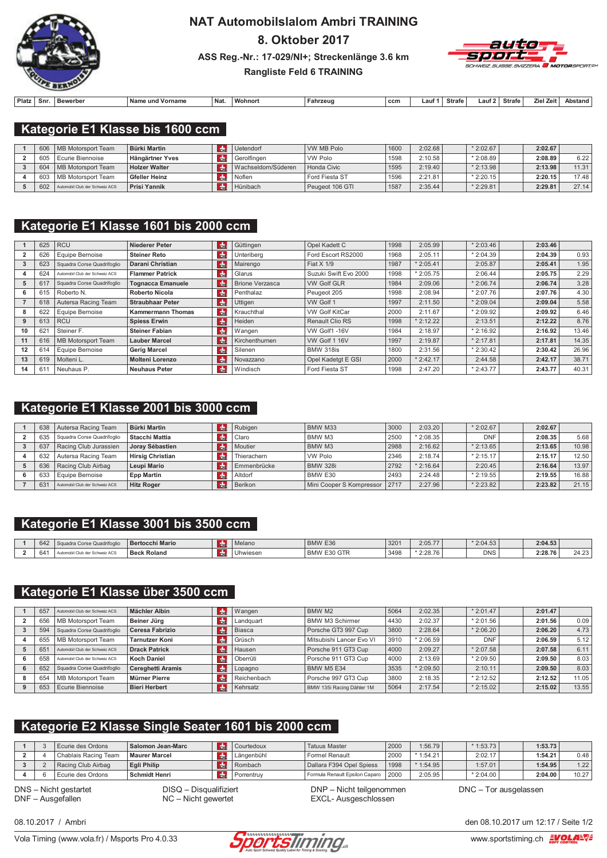

# **NAT AutomobilsIalom Ambri TRAINING** 8. Oktober 2017 ASS Reg.-Nr.: 17-029/NI+; Streckenlänge 3.6 km



#### **Rangliste Feld 6 TRAINING**

| Platz | Snr | . Bewerber | Nam<br>∖ und ∖<br>'orname | ' Naเ | <b>Wohnor</b> | Fahrzeu | ccm | auf | <b>Strafe</b> | ∟aut | Strafe | al Zeif<br>7iel. | Abstai |
|-------|-----|------------|---------------------------|-------|---------------|---------|-----|-----|---------------|------|--------|------------------|--------|

### Kategorie E1 Klasse bis 1600 ccm

| 606 | MB Motorsport Team             | <b>Bürki Martin</b>  | Uetendorf           | WW MB Polo      | 1600 | 2:02.68 | $*2:02.67$ | 2:02.67 |       |
|-----|--------------------------------|----------------------|---------------------|-----------------|------|---------|------------|---------|-------|
| 605 | Ecurie Biennoise               | Hängärtner Yves      | Gerolfingen         | VW Polo         | 1598 | 2:10.58 | $*2:08.89$ | 2:08.89 | 6.22  |
| 604 | MB Motorsport Team             | <b>Holzer Walter</b> | Wachseldorn/Süderen | Honda Civic     | 1595 | 2:19.40 | $*2:13.98$ | 2:13.98 | 11.31 |
| 603 | MB Motorsport Team             | Gfeller Heinz        | Noflen              | Ford Fiesta ST  | 1596 | 2:21.81 | $*2:20.15$ | 2:20.15 | 17.48 |
| 602 | Automobil Club der Schweiz ACS | <b>Prisi Yannik</b>  | Hünibach            | Peugeot 106 GTI | 1587 | 2:35.44 | $*2:29.81$ | 2:29.81 | 27.14 |

### Kategorie E1 Klasse 1601 bis 2000 ccm

|    | 625 | <b>RCU</b>                     | <b>Niederer Peter</b>    | Idh⊨                  | Güttingen              | Opel Kadett C          | 1998 | 2:05.99    | $*2:03.46$ | 2:03.46 |       |
|----|-----|--------------------------------|--------------------------|-----------------------|------------------------|------------------------|------|------------|------------|---------|-------|
|    | 626 | Equipe Bernoise                | <b>Steiner Reto</b>      | <b>CHE</b>            | Unteriberg             | Ford Escort RS2000     | 1968 | 2:05.11    | $*2:04.39$ | 2:04.39 | 0.93  |
|    | 623 | Squadra Corse Quadrifoglio     | <b>Darani Christian</b>  | <b>d</b> <sub>n</sub> | Mairengo               | Fiat $X$ 1/9           | 1987 | 2:05.41    | 2:05.87    | 2:05.41 | 1.95  |
|    | 624 | Automobil Club der Schweiz ACS | <b>Flammer Patrick</b>   | <b>do</b>             | Glarus                 | Suzuki Swift Evo 2000  | 1998 | $*2:05.75$ | 2:06.44    | 2:05.75 | 2.29  |
| 5  | 617 | Squadra Corse Quadrifoglio     | <b>Tognacca Emanuele</b> | Idhe                  | <b>Brione Verzasca</b> | <b>VW Golf GLR</b>     | 1984 | 2:09.06    | $*2:06.74$ | 2:06.74 | 3.28  |
| 6  | 615 | Roberto N.                     | <b>Roberto Nicola</b>    | <b>Reference</b>      | Penthalaz              | Peugeot 205            | 1998 | 2:08.94    | $*2:07.76$ | 2:07.76 | 4.30  |
|    | 618 | Autersa Racing Team            | <b>Straubhaar Peter</b>  | <b>de</b>             | Uttigen                | VW Golf 1              | 1997 | 2:11.50    | $*2:09.04$ | 2:09.04 | 5.58  |
| 8  | 622 | Equipe Bernoise                | <b>Kammermann Thomas</b> | $\frac{1}{2}$         | Krauchthal             | <b>VW Golf KitCar</b>  | 2000 | 2:11.67    | $*2:09.92$ | 2:09.92 | 6.46  |
| 9  | 613 | <b>RCU</b>                     | <b>Spiess Erwin</b>      | l da⊪                 | Heiden                 | <b>Renault Clio RS</b> | 1998 | $*2:12.22$ | 2:13.51    | 2:12.22 | 8.76  |
| 10 | 62  | Steiner F.                     | <b>Steiner Fabian</b>    | $H_{\rm{th}}$         | Wangen                 | VW Golf1-16V           | 1984 | 2:18.97    | $*2:16.92$ | 2:16.92 | 13.46 |
| 11 | 616 | MB Motorsport Team             | <b>Lauber Marcel</b>     | <b>do</b>             | Kirchenthurnen         | VW Golf 1 16V          | 1997 | 2:19.87    | $*2:17.81$ | 2:17.81 | 14.35 |
| 12 | 614 | <b>Equipe Bernoise</b>         | <b>Gerig Marcel</b>      | <b>CHE</b>            | Silenen                | <b>BMW 318is</b>       | 1800 | 2:31.56    | $*2:30.42$ | 2:30.42 | 26.96 |
| 13 | 619 | Molteni L.                     | <b>Molteni Lorenzo</b>   | <b>de</b>             | Novazzano              | Opel Kadetgt E GSI     | 2000 | $*2:42.17$ | 2:44.58    | 2:42.17 | 38.71 |
| 14 | 611 | Neuhaus P.                     | <b>Neuhaus Peter</b>     | $\frac{1}{2}$         | Windisch               | Ford Fiesta ST         | 1998 | 2:47.20    | $*2:43.77$ | 2:43.77 | 40.31 |

### Kategorie E1 Klasse 2001 bis 3000 ccm

| 638 | Autersa Racing Team            | <b>Bürki Martin</b>     | <b>CHE</b>    | Rubigen     | BMW M33                         | 3000 | 2:03.20    | $*2:02.67$ | 2:02.67 |       |
|-----|--------------------------------|-------------------------|---------------|-------------|---------------------------------|------|------------|------------|---------|-------|
| 635 | Squadra Corse Quadrifoglio     | Stacchi Mattia          | $th$          | l Claro     | BMW M3                          | 2500 | $*2:08.35$ | <b>DNF</b> | 2:08.35 | 5.68  |
| 637 | Racing Club Jurassien          | Jorav Sébastien         | $\frac{1}{2}$ | Moutier     | BMW M3                          | 2988 | 2:16.62    | $*2:13.65$ | 2:13.65 | 10.98 |
| 632 | Autersa Racing Team            | <b>Hirsig Christian</b> | $\frac{1}{2}$ | Thierachern | <b>VW Polo</b>                  | 2346 | 2:18.74    | $*2:15.17$ | 2:15.17 | 12.50 |
| 636 | Racing Club Airbag             | Leupi Mario             | $th$          | Emmenbrücke | <b>BMW 328i</b>                 | 2792 | $*2:16.64$ | 2:20.45    | 2:16.64 | 13.97 |
| 633 | Equipe Bernoise                | <b>Epp Martin</b>       | <b>d</b>      | Altdorf     | BMW E30                         | 2493 | 2:24.48    | $*2:19.55$ | 2:19.55 | 16.88 |
| 631 | Automobil Club der Schweiz ACS | <b>Hitz Roger</b>       | <b>CHE</b>    | Berikon     | Mini Cooper S Kompressor   2717 |      | 2:27.96    | $*2:23.82$ | 2:23.82 | 21.15 |

### Kategorie E1 Klasse 3001 bis 3500 ccm

| 0.40<br>642 | .<br>ra Corse<br>e Quadrifogli | <b>Bertocchi Mario</b> | . . | Melano   | BMW E36                          | 3201 | 2:05.77    | $*2:04.53$ | 2:04.53 |                 |
|-------------|--------------------------------|------------------------|-----|----------|----------------------------------|------|------------|------------|---------|-----------------|
| 64'         | Club der Schweiz ACS           | <b>Beck Roland</b>     |     | Uhwiesen | GTR<br><b>BMW</b><br>⊢ ২∩<br>⊏ు∪ | 3498 | $*2:28.76$ | <b>DNS</b> | 2:28.76 | $\sim$<br>24.ZJ |

## Kategorie E1 Klasse über 3500 ccm

|   | 657 | Automobil Club der Schweiz ACS | Mächler Albin            |               | Wangen      | BMW M2                    | 5064 | 2:02.35    | $*2:01.47$ | 2:01.47 |       |
|---|-----|--------------------------------|--------------------------|---------------|-------------|---------------------------|------|------------|------------|---------|-------|
|   | 656 | MB Motorsport Team             | Beiner Jüra              | d.            | Landquart   | <b>BMW M3 Schirmer</b>    | 4430 | 2:02.37    | $*2:01.56$ | 2:01.56 | 0.09  |
|   | 594 | Squadra Corse Quadrifoglio     | Ceresa Fabrizio          | rdni          | Biasca      | Porsche GT3 997 Cup       | 3800 | 2:28.64    | $*2:06.20$ | 2:06.20 | 4.73  |
|   | 655 | MB Motorsport Team             | <b>Tarnutzer Koni</b>    | $\frac{1}{2}$ | Grüsch      | Mitsubishi Lancer Evo VI  | 3910 | $*2:06.59$ | <b>DNF</b> | 2:06.59 | 5.12  |
|   | 65  | Automobil Club der Schweiz ACS | <b>Drack Patrick</b>     | $\frac{1}{2}$ | Hausen      | Porsche 911 GT3 Cup       | 4000 | 2:09.27    | $*2:07.58$ | 2:07.58 | 6.11  |
|   | 658 | Automobil Club der Schweiz ACS | <b>Koch Daniel</b>       | $\frac{1}{2}$ | Oberrüti    | Porsche 911 GT3 Cup       | 4000 | 2:13.69    | $*2:09.50$ | 2:09.50 | 8.03  |
| h | 652 | Squadra Corse Quadrifoglio     | <b>Cereghetti Aramis</b> | $\frac{1}{2}$ | Lopagno     | <b>BMW M5 E34</b>         | 3535 | $*2:09.50$ | 2:10.11    | 2:09.50 | 8.03  |
| 8 | 654 | MB Motorsport Team             | Mürner Pierre            | rdni          | Reichenbach | Porsche 997 GT3 Cup       | 3800 | 2:18.35    | $*2:12.52$ | 2:12.52 | 11.05 |
| 9 | 653 | Ecurie Biennoise               | <b>Bieri Herbert</b>     | Гф.           | Kehrsatz    | BMW 135i Racing Dähler 1M | 5064 | 2:17.54    | $*2:15.02$ | 2:15.02 | 13.55 |

## Kategorie E2 Klasse Single Seater 1601 bis 2000 ccm

|  | Ecurie des Ordons    | Salomon Jean-Marc    | Courtedoux | <b>Tatuus Master</b>           | 2000 | :56.79     | $*1:53.73$ | 1:53.73 |       |
|--|----------------------|----------------------|------------|--------------------------------|------|------------|------------|---------|-------|
|  | Chablais Racing Team | <b>Maurer Marcel</b> | Längenbühl | <b>Formel Renault</b>          | 2000 | $*1:54.21$ | 2:02.17    | 1:54.21 | 0.48  |
|  | Racing Club Airbag   | Egli Philip          | Rombach    | Dallara F394 Opel Spiess       | 1998 | $*1:54.95$ | 1:57.01    | 1:54.95 | 1.22  |
|  | Ecurie des Ordons    | l Schmidt Henri      | Porrentruv | Formula Renault Epsilon Caparo | 2000 | 2:05.95    | $*2:04.00$ | 2:04.00 | 10.27 |

DNS - Nicht gestartet DNF - Ausgefallen

DISQ - Disqualifiziert  $NC -$  Nicht gewertet

DNP - Nicht teilgenommen EXCL- Ausgeschlossen

DNC - Tor ausgelassen



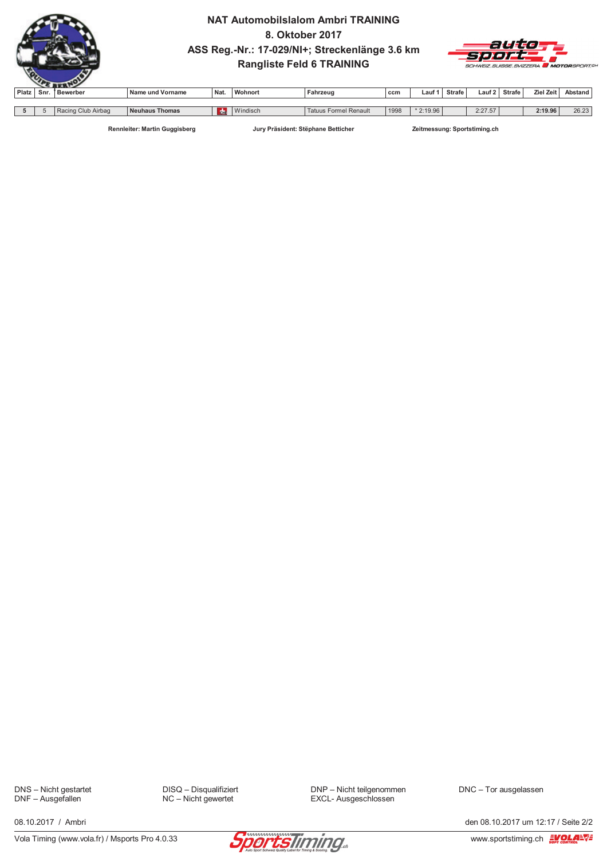

### **NAT Automobilslalom Ambri TRAINING** 8. Oktober 2017 ASS Reg.-Nr.: 17-029/NI+; Streckenlänge 3.6 km **Rangliste Feld 6 TRAINING**



| Platz | Snr. | Bewerber           | Name und Vorname | Nat.       | <b>Wohnort</b>     | Fahrzeug                        | ccm  | Lauf       | <b>Strafe</b> | Lauf 2  | Strafe | Ziel Zeit | Abstand        |
|-------|------|--------------------|------------------|------------|--------------------|---------------------------------|------|------------|---------------|---------|--------|-----------|----------------|
|       |      |                    |                  |            |                    |                                 |      |            |               |         |        |           |                |
|       |      | Racing Club Airbag | Neuhaus Thomas   | <b>CHL</b> | A<br>Windisch<br>. | <b>Formel Renault</b><br>Tatuus | 1998 | $*2:19.96$ |               | 2:27.57 |        | 2:19.96   | 26.22<br>20.Z3 |

Rennleiter: Martin Guggisberg

Jury Präsident: Stëphane Betticher

Zeitmessung: Sportstiming.ch

DNS - Nicht gestartet<br>DNF - Ausgefallen

DISQ - Disqualifiziert NC - Nicht gewertet

DNP - Nicht teilgenommen EXCL- Ausgeschlossen

DNC - Tor ausgelassen

08 10 2017 / Ambri

Vola Timing (www.vola.fr) / Msports Pro 4.0.33



den 08.10.2017 um 12:17 / Seite 2/2

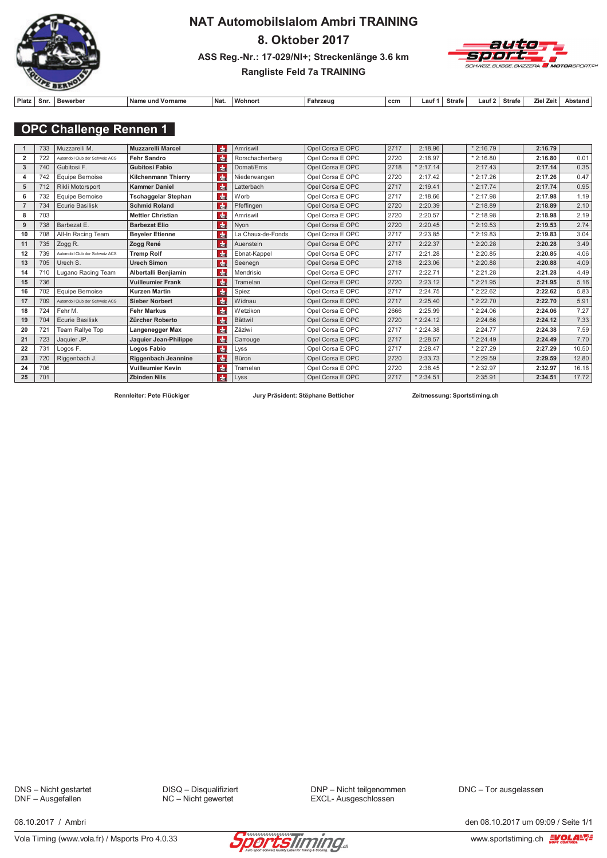

# **NAT Automobilslalom Ambri TRAINING** 8. Oktober 2017 ASS Reg.-Nr.: 17-029/NI+; Streckenlänge 3.6 km



### Rangliste Feld 7a TRAINING

| Platz<br>Snı | Bewerber | <b>Na</b><br>Vornam<br>und | <b>Nat</b> | Wohnor. | Fahrzeud | ccn | _auf | Strafe | ∟aut ' | Strafe | <b>Zeit</b><br>Zie | Abstand |
|--------------|----------|----------------------------|------------|---------|----------|-----|------|--------|--------|--------|--------------------|---------|

### **OPC Challenge Rennen 1**

|                | 733 | Muzzarelli M.                  | <b>Muzzarelli Marcel</b>   | die.            | Amriswil          | Opel Corsa E OPC | 2717 | 2:18.96    | $*2:16.79$ | 2:16.79 |       |
|----------------|-----|--------------------------------|----------------------------|-----------------|-------------------|------------------|------|------------|------------|---------|-------|
| $\overline{2}$ | 722 | Automobil Club der Schweiz ACS | <b>Fehr Sandro</b>         | dm <sub>2</sub> | Rorschacherberg   | Opel Corsa E OPC | 2720 | 2:18.97    | $*2:16.80$ | 2:16.80 | 0.01  |
| 3              | 740 | Gubitosi F.                    | <b>Gubitosi Fabio</b>      | $ch$            | Domat/Ems         | Opel Corsa E OPC | 2718 | $*2:17.14$ | 2:17.43    | 2:17.14 | 0.35  |
| 4              | 742 | Equipe Bernoise                | <b>Kilchenmann Thierry</b> | $\frac{1}{2}$   | Niederwangen      | Opel Corsa E OPC | 2720 | 2:17.42    | $*2:17.26$ | 2:17.26 | 0.47  |
| 5              | 712 | Rikli Motorsport               | <b>Kammer Daniel</b>       | $\frac{1}{2}$   | Latterbach        | Opel Corsa E OPC | 2717 | 2:19.41    | $*2:17.74$ | 2:17.74 | 0.95  |
| 6              | 732 | Equipe Bernoise                | <b>Tschaggelar Stephan</b> | die             | Worb              | Opel Corsa E OPC | 2717 | 2:18.66    | $*2:17.98$ | 2:17.98 | 1.19  |
|                | 734 | <b>Ecurie Basilisk</b>         | <b>Schmid Roland</b>       | $\frac{1}{2}$   | Pfeffingen        | Opel Corsa E OPC | 2720 | 2:20.39    | $*2:18.89$ | 2:18.89 | 2.10  |
| 8              | 703 |                                | <b>Mettler Christian</b>   | che             | Amriswil          | Opel Corsa E OPC | 2720 | 2:20.57    | $*2:18.98$ | 2:18.98 | 2.19  |
| 9              | 738 | Barbezat E.                    | <b>Barbezat Elio</b>       | dhe             | Nyon              | Opel Corsa E OPC | 2720 | 2:20.45    | $*2:19.53$ | 2:19.53 | 2.74  |
| 10             | 708 | All-In Racing Team             | <b>Beveler Etienne</b>     | $th$            | La Chaux-de-Fonds | Opel Corsa E OPC | 2717 | 2:23.85    | $*2:19.83$ | 2:19.83 | 3.04  |
| 11             | 735 | Zogg R.                        | Zogg René                  | dm <sub>E</sub> | Auenstein         | Opel Corsa E OPC | 2717 | 2:22.37    | $*2:20.28$ | 2:20.28 | 3.49  |
| 12             | 739 | Automobil Club der Schweiz ACS | <b>Tremp Rolf</b>          | dm <sub>E</sub> | Ebnat-Kappel      | Opel Corsa E OPC | 2717 | 2:21.28    | $*2:20.85$ | 2:20.85 | 4.06  |
| 13             | 705 | Urech S.                       | <b>Urech Simon</b>         | $cm$            | Seenegn           | Opel Corsa E OPC | 2718 | 2:23.06    | $*2:20.88$ | 2:20.88 | 4.09  |
| 14             | 710 | Lugano Racing Team             | Albertalli Benjiamin       | $ch$            | Mendrisio         | Opel Corsa E OPC | 2717 | 2:22.71    | $*2:21.28$ | 2:21.28 | 4.49  |
| 15             | 736 |                                | <b>Vuilleumier Frank</b>   | <b>de</b>       | Tramelan          | Opel Corsa E OPC | 2720 | 2:23.12    | $*2:21.95$ | 2:21.95 | 5.16  |
| 16             | 702 | Equipe Bernoise                | <b>Kurzen Martin</b>       | $\frac{1}{2}$   | Spiez             | Opel Corsa E OPC | 2717 | 2:24.75    | $*2:22.62$ | 2:22.62 | 5.83  |
| 17             | 709 | Automobil Club der Schweiz ACS | <b>Sieber Norbert</b>      | die.            | Widnau            | Opel Corsa E OPC | 2717 | 2:25.40    | $*2:22.70$ | 2:22.70 | 5.91  |
| 18             | 724 | Fehr M.                        | <b>Fehr Markus</b>         | $\frac{1}{2}$   | Wetzikon          | Opel Corsa E OPC | 2666 | 2:25.99    | $*2:24.06$ | 2:24.06 | 7.27  |
| 19             | 704 | <b>Ecurie Basilisk</b>         | Zürcher Roberto            | die.            | <b>Bättwil</b>    | Opel Corsa E OPC | 2720 | $*2:24.12$ | 2:24.66    | 2:24.12 | 7.33  |
| 20             | 721 | Team Rallye Top                | Langenegger Max            | $ch$            | Zäziwi            | Opel Corsa E OPC | 2717 | $*2:24.38$ | 2:24.77    | 2:24.38 | 7.59  |
| 21             | 723 | Jaquier JP.                    | Jaquier Jean-Philippe      | $th$            | Carrouge          | Opel Corsa E OPC | 2717 | 2:28.57    | $*2:24.49$ | 2:24.49 | 7.70  |
| 22             | 731 | Logos F.                       | Logos Fabio                | ch <sub>E</sub> | Lyss              | Opel Corsa E OPC | 2717 | 2:28.47    | $*2:27.29$ | 2:27.29 | 10.50 |
| 23             | 720 | Riggenbach J.                  | Riggenbach Jeannine        | die.            | Büron             | Opel Corsa E OPC | 2720 | 2:33.73    | $*2:29.59$ | 2:29.59 | 12.80 |
| 24             | 706 |                                | <b>Vuilleumier Kevin</b>   | $\frac{1}{2}$   | Tramelan          | Opel Corsa E OPC | 2720 | 2:38.45    | $*2:32.97$ | 2:32.97 | 16.18 |
| 25             | 701 |                                | <b>Zbinden Nils</b>        | dm <sub>e</sub> | Lyss              | Opel Corsa E OPC | 2717 | $*2:34.51$ | 2:35.91    | 2:34.51 | 17.72 |

Rennleiter: Pete Flückiger

Jury Präsident: Stëphane Betticher

Zeitmessung: Sportstiming.ch

DNS - Nicht gestartet DNF - Ausgefallen

DISQ - Disqualifiziert NC - Nicht gewertet

DNP - Nicht teilgenommen EXCL- Ausgeschlossen

DNC - Tor ausgelassen